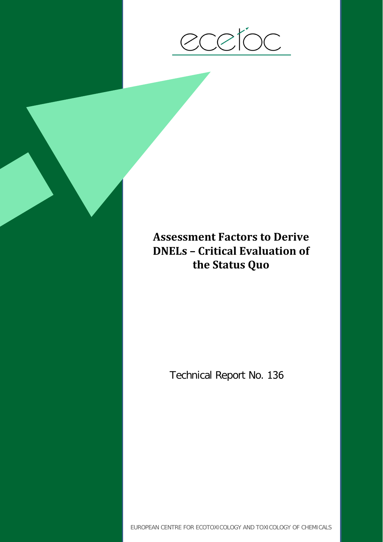

# **Assessment Factors to Derive DNELs – Critical Evaluation of the Status Quo**

Technical Report No. 136

EUROPEAN CENTRE FOR ECOTOXICOLOGY AND TOXICOLOGY OF CHEMICALS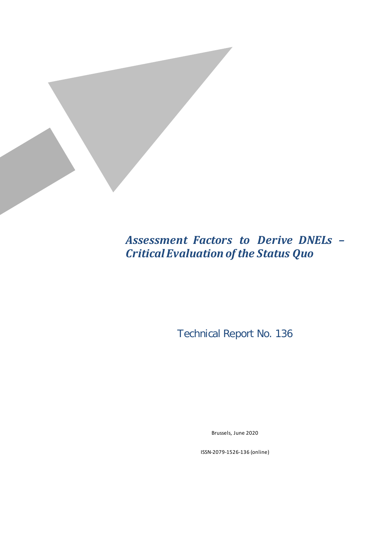

# *Assessment Factors to Derive DNELs – Critical Evaluation of the Status Quo*

Technical Report No. 136

Brussels, June 2020

ISSN-2079-1526-136 (online)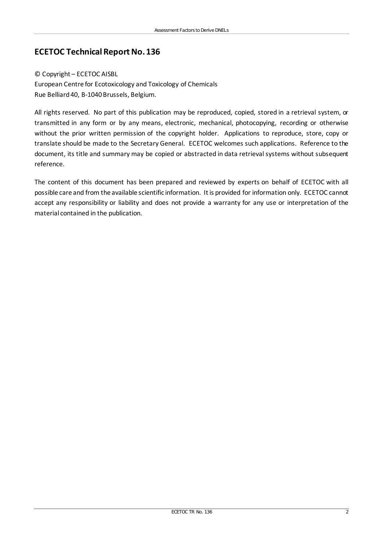#### **ECETOC Technical Report No. 136**

#### © Copyright – ECETOC AISBL

European Centre for Ecotoxicology and Toxicology of Chemicals Rue Belliard 40, B-1040 Brussels, Belgium.

All rights reserved. No part of this publication may be reproduced, copied, stored in a retrieval system, or transmitted in any form or by any means, electronic, mechanical, photocopying, recording or otherwise without the prior written permission of the copyright holder. Applications to reproduce, store, copy or translate should be made to the Secretary General. ECETOC welcomes such applications. Reference to the document, its title and summary may be copied or abstracted in data retrieval systems without subsequent reference.

The content of this document has been prepared and reviewed by experts on behalf of ECETOC with all possible care and from the available scientific information. It is provided for information only. ECETOC cannot accept any responsibility or liability and does not provide a warranty for any use or interpretation of the material contained in the publication.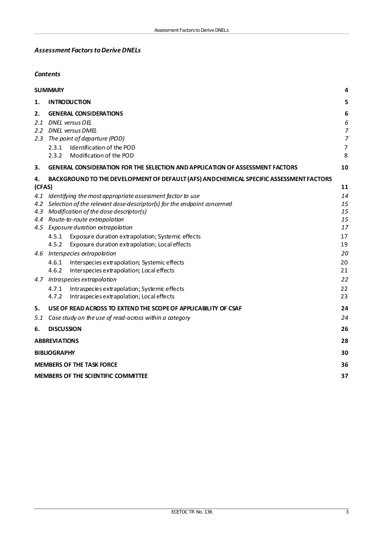#### *Assessment Factors to Derive DNELs*

#### *Contents*

|        | 4<br><b>SUMMARY</b>                                                                                                   |                |  |  |  |
|--------|-----------------------------------------------------------------------------------------------------------------------|----------------|--|--|--|
| 1.     | <b>INTRODUCTION</b>                                                                                                   | 5              |  |  |  |
| 2.     | <b>GENERAL CONSIDERATIONS</b>                                                                                         | 6              |  |  |  |
|        | 2.1 DNEL versus OEL                                                                                                   | 6              |  |  |  |
|        | 2.2 DNEL versus DMEL                                                                                                  | $\overline{7}$ |  |  |  |
| 2.3    | The point of departure (POD)                                                                                          | $\overline{7}$ |  |  |  |
|        | Identification of the POD<br>2.3.1                                                                                    | $\overline{7}$ |  |  |  |
|        | Modification of the POD<br>2.3.2                                                                                      | 8              |  |  |  |
| 3.     | <b>GENERAL CONSIDERATION FOR THE SELECTION AND APPLICATION OF ASSESSMENT FACTORS</b>                                  | 10             |  |  |  |
| 4.     | BACKGROUND TO THE DEVELOPMENT OF DEFAULT (AFS) AND CHEMICAL SPECIFIC ASSESSMENT FACTORS                               |                |  |  |  |
| (CFAS) |                                                                                                                       | 11             |  |  |  |
|        | 4.1 Identifying the most appropriate assessment factor to use                                                         | 14             |  |  |  |
|        | 4.2 Selection of the relevant dose-descriptor(s) for the endpoint concerned                                           | 15             |  |  |  |
|        | 4.3 Modification of the dose descriptor(s)                                                                            | 15             |  |  |  |
|        | 4.4 Route-to-route extrapolation                                                                                      | 15<br>17       |  |  |  |
|        | 4.5 Exposure duration extrapolation                                                                                   |                |  |  |  |
|        | 4.5.1<br>Exposure duration extrapolation; Systemic effects<br>4.5.2<br>Exposure duration extrapolation; Local effects | 17<br>19       |  |  |  |
|        | 4.6 Interspecies extrapolation                                                                                        | 20             |  |  |  |
|        |                                                                                                                       |                |  |  |  |
|        | 4.6.1<br>Interspecies extrapolation; Systemic effects<br>4.6.2<br>Interspecies extrapolation; Local effects           | 20<br>21       |  |  |  |
|        | 4.7 Intraspecies extrapolation                                                                                        | 22             |  |  |  |
|        | Intraspecies extrapolation; Systemic effects<br>4.7.1                                                                 | 22             |  |  |  |
|        | 4.7.2<br>Intraspecies extrapolation; Local effects                                                                    | 23             |  |  |  |
| 5.     | USE OF READ ACROSS TO EXTEND THE SCOPE OF APPLICABILITY OF CSAF                                                       | 24             |  |  |  |
| 5.1    | Case study on the use of read-across within a category                                                                | 24             |  |  |  |
| 6.     | <b>DISCUSSION</b>                                                                                                     | 26             |  |  |  |
|        | <b>ABBREVIATIONS</b>                                                                                                  |                |  |  |  |
|        | <b>BIBLIOGRAPHY</b>                                                                                                   |                |  |  |  |
|        | <b>MEMBERS OF THE TASK FORCE</b>                                                                                      |                |  |  |  |
|        | <b>MEMBERS OF THE SCIENTIFIC COMMITTEE</b>                                                                            |                |  |  |  |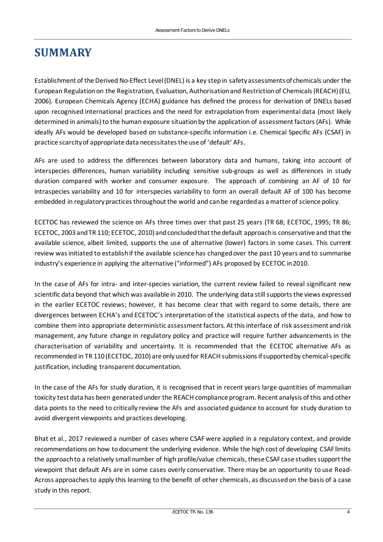### <span id="page-5-0"></span>**SUMMARY**

Establishment of the Derived No-Effect Level (DNEL) is a key step in safety assessments of chemicals under the European Regulation on the Registration, Evaluation, Authorisation and Restriction of Chemicals (REACH) (EU, 2006). European Chemicals Agency (ECHA) guidance has defined the process for derivation of DNELs based upon recognised international practices and the need for extrapolation from experimental data (most likely determined in animals) to the human exposure situation by the application of assessment factors (AFs). While ideally AFs would be developed based on substance-specific information i.e. Chemical Specific AFs (CSAF) in practice scarcity of appropriate data necessitates the use of 'default' AFs.

AFs are used to address the differences between laboratory data and humans, taking into account of interspecies differences, human variability including sensitive sub-groups as well as differences in study duration compared with worker and consumer exposure. The approach of combining an AF of 10 for intraspecies variability and 10 for interspecies variability to form an overall default AF of 100 has become embedded in regulatory practices throughout the world and can be regarded as a matter of science policy.

ECETOC has reviewed the science on AFs three times over that past 25 years (TR 68; ECETOC, 1995; TR 86; ECETOC, 2003 and TR 110; ECETOC, 2010) and concluded that the default approach is conservative and that the available science, albeit limited, supports the use of alternative (lower) factors in some cases. This current review was initiated to establish if the available science has changed over the past 10 years and to summarise industry's experience in applying the alternative ("informed") AFs proposed by ECETOC in 2010.

In the case of AFs for intra- and inter-species variation, the current review failed to reveal significant new scientific data beyond that which was available in 2010. The underlying data still supportsthe views expressed in the earlier ECETOC reviews; however, it has become clear that with regard to some details, there are divergences between ECHA's and ECETOC's interpretation of the statistical aspects of the data, and how to combine them into appropriate deterministic assessment factors. At this interface of risk assessment and risk management, any future change in regulatory policy and practice will require further advancements in the characterisation of variability and uncertainty. It is recommended that the ECETOC alternative AFs as recommended in TR 110 (ECETOC, 2010) are only used for REACH submissions ifsupported by chemical-specific justification, including transparent documentation.

In the case of the AFs for study duration, it is recognised that in recent years large quantities of mammalian toxicity test data has been generatedunder the REACH compliance program. Recent analysis of this and other data points to the need to critically review the AFs and associated guidance to account for study duration to avoid divergent viewpoints and practices developing.

Bhat et al., 2017 reviewed a number of cases where CSAF were applied in a regulatory context, and provide recommendations on how to document the underlying evidence. While the high cost of developing CSAF limits the approach to a relatively small number of high profile/value chemicals, these CSAF case studies support the viewpoint that default AFs are in some cases overly conservative. There may be an opportunity to use Read-Across approaches to apply this learning to the benefit of other chemicals, as discussedon the basis of a case study in this report.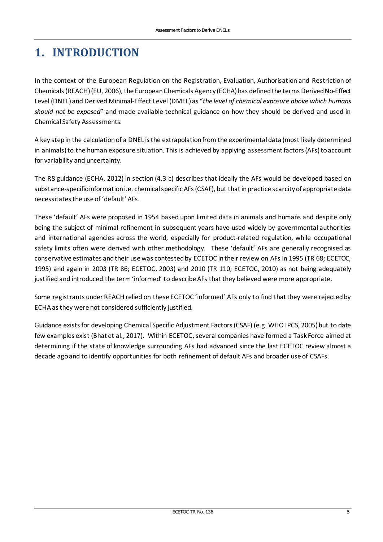## <span id="page-6-0"></span>**1. INTRODUCTION**

In the context of the European Regulation on the Registration, Evaluation, Authorisation and Restriction of Chemicals (REACH) (EU, 2006), the European Chemicals Agency (ECHA) has defined the terms Derived No-Effect Level (DNEL) and Derived Minimal-Effect Level (DMEL) as "*the level of chemical exposure above which humans should not be exposed*" and made available technical guidance on how they should be derived and used in Chemical Safety Assessments.

A key step in the calculation of a DNEL is the extrapolation from the experimental data (most likely determined in animals) to the human exposure situation. This is achieved by applying assessment factors (AFs) to account for variability and uncertainty.

The R8 guidance (ECHA, 2012) in section (4.3 c) describes that ideally the AFs would be developed based on substance-specific information i.e. chemical specific AFs (CSAF), but that in practice scarcity of appropriate data necessitates the use of 'default' AFs.

These 'default' AFs were proposed in 1954 based upon limited data in animals and humans and despite only being the subject of minimal refinement in subsequent years have used widely by governmental authorities and international agencies across the world, especially for product-related regulation, while occupational safety limits often were derived with other methodology. These 'default' AFs are generally recognised as conservative estimates and their use was contested by ECETOC in their review on AFs in 1995 (TR 68; ECETOC, 1995) and again in 2003 (TR 86; ECETOC, 2003) and 2010 (TR 110; ECETOC, 2010) as not being adequately justified and introduced the term 'informed' to describe AFs that they believed were more appropriate.

Some registrants under REACH relied on these ECETOC 'informed' AFs only to find that they were rejected by ECHA as they were not considered sufficiently justified.

Guidance exists for developing Chemical Specific Adjustment Factors (CSAF) (e.g. WHO IPCS, 2005) but to date few examples exist (Bhat et al., 2017). Within ECETOC, several companies have formed a Task Force aimed at determining if the state of knowledge surrounding AFs had advanced since the last ECETOC review almost a decade ago and to identify opportunities for both refinement of default AFs and broader use of CSAFs.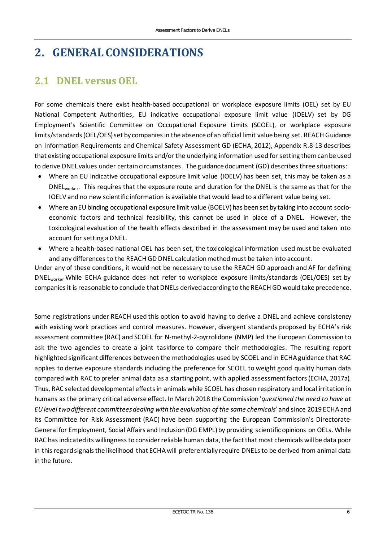## <span id="page-7-0"></span>**2. GENERAL CONSIDERATIONS**

#### <span id="page-7-1"></span>**2.1 DNEL versus OEL**

For some chemicals there exist health-based occupational or workplace exposure limits (OEL) set by EU National Competent Authorities, EU indicative occupational exposure limit value (IOELV) set by DG Employment's Scientific Committee on Occupational Exposure Limits (SCOEL), or workplace exposure limits/standards (OEL/OES) set by companies in the absence of an official limit value being set. REACH Guidance on Information Requirements and Chemical Safety Assessment GD (ECHA, 2012), Appendix R.8-13 describes that existing occupational exposure limits and/or the underlying information used for setting them can be used to derive DNEL values under certain circumstances. The guidance document (GD) describes three situations:

- Where an EU indicative occupational exposure limit value (IOELV) has been set, this may be taken as a DNEL<sub>worker</sub>. This requires that the exposure route and duration for the DNEL is the same as that for the IOELV and no new scientific information is available that would lead to a different value being set.
- Where an EU binding occupational exposure limit value (BOELV) has been set by taking into account socioeconomic factors and technical feasibility, this cannot be used in place of a DNEL. However, the toxicological evaluation of the health effects described in the assessment may be used and taken into account for setting a DNEL.
- Where a health-based national OEL has been set, the toxicological information used must be evaluated and any differences to the REACH GD DNEL calculation method must be taken into account.

Under any of these conditions, it would not be necessary to use the REACH GD approach and AF for defining DNELworker While ECHA guidance does not refer to workplace exposure limits/standards (OEL/OES) set by companies it is reasonable to conclude that DNELs derived according to the REACH GD would take precedence.

Some registrations under REACH used this option to avoid having to derive a DNEL and achieve consistency with existing work practices and control measures. However, divergent standards proposed by ECHA's risk assessment committee (RAC) and SCOEL for N-methyl-2-pyrrolidone (NMP) led the European Commission to ask the two agencies to create a joint taskforce to compare their methodologies. The resulting report highlighted significant differences between the methodologies used by SCOEL and in ECHA guidance that RAC applies to derive exposure standards including the preference for SCOEL to weight good quality human data compared with RAC to prefer animal data as a starting point, with applied assessment factors (ECHA, 2017a). Thus, RAC selected developmental effects in animals while SCOEL has chosen respiratory and local irritation in humans as the primary critical adverse effect. In March 2018 the Commission '*questioned the need to have at EU level two different committees dealing with the evaluation of the same chemicals*' and since 2019 ECHA and its Committee for Risk Assessment (RAC) have been supporting the European Commission's Directorate-General for Employment, Social Affairs and Inclusion (DG EMPL) by providing scientific opinions on OELs. While RAC has indicated its willingness to consider reliable human data, the fact that most chemicals will be data poor in this regard signals the likelihood that ECHA will preferentially require DNELs to be derived from animal data in the future.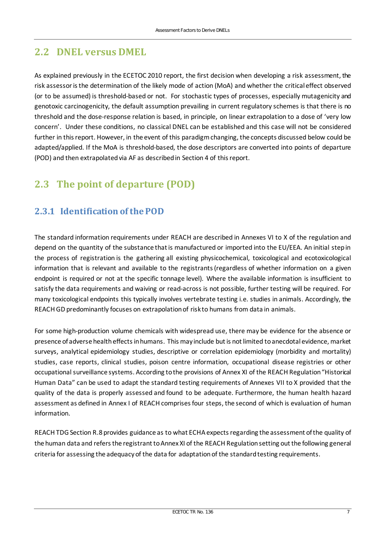### <span id="page-8-0"></span>**2.2 DNEL versus DMEL**

As explained previously in the ECETOC 2010 report, the first decision when developing a risk assessment, the risk assessor is the determination of the likely mode of action (MoA) and whether the critical effect observed (or to be assumed) is threshold-based or not. For stochastic types of processes, especially mutagenicity and genotoxic carcinogenicity, the default assumption prevailing in current regulatory schemes is that there is no threshold and the dose-response relation is based, in principle, on linear extrapolation to a dose of 'very low concern'. Under these conditions, no classical DNEL can be established and this case will not be considered further in this report. However, in the event of this paradigm changing, the concepts discussed below could be adapted/applied. If the MoA is threshold-based, the dose descriptors are converted into points of departure (POD) and then extrapolated via AF as described in Section 4 of this report.

### <span id="page-8-1"></span>**2.3 The point of departure (POD)**

#### <span id="page-8-2"></span>**2.3.1 Identification of the POD**

The standard information requirements under REACH are described in Annexes VI to X of the regulation and depend on the quantity of the substance that is manufactured or imported into the EU/EEA. An initial step in the process of registration is the gathering all existing physicochemical, toxicological and ecotoxicological information that is relevant and available to the registrants (regardless of whether information on a given endpoint is required or not at the specific tonnage level). Where the available information is insufficient to satisfy the data requirements and waiving or read-across is not possible, further testing will be required. For many toxicological endpoints this typically involves vertebrate testing i.e. studies in animals. Accordingly, the REACH GD predominantly focuses on extrapolation of risk to humans from data in animals.

For some high-production volume chemicals with widespread use, there may be evidence for the absence or presence of adverse health effects in humans. This may include but is not limited to anecdotal evidence, market surveys, analytical epidemiology studies, descriptive or correlation epidemiology (morbidity and mortality) studies, case reports, clinical studies, poison centre information, occupational disease registries or other occupational surveillance systems. According to the provisions of Annex XI of the REACH Regulation "Historical Human Data" can be used to adapt the standard testing requirements of Annexes VII to X provided that the quality of the data is properly assessed and found to be adequate. Furthermore, the human health hazard assessment as defined in Annex I of REACH comprises four steps, the second of which is evaluation of human information.

REACH TDG Section R.8 provides guidance as to what ECHA expects regarding the assessment of the quality of the human data and refers the registrant to Annex XI of the REACH Regulation setting out the following general criteria for assessing the adequacy of the data for adaptation of the standard testing requirements.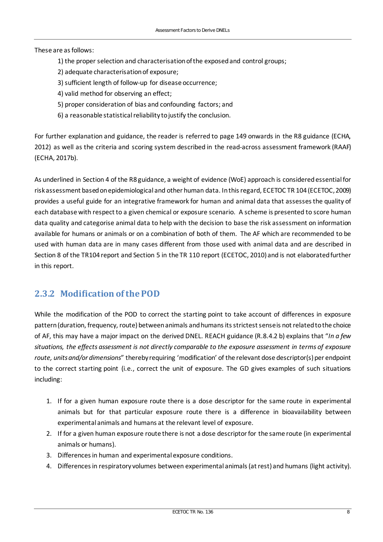#### These are as follows:

- 1) the proper selection and characterisation of the exposed and control groups;
- 2) adequate characterisation of exposure;
- 3) sufficient length of follow-up for disease occurrence;
- 4) valid method for observing an effect;
- 5) proper consideration of bias and confounding factors; and
- 6) a reasonable statistical reliability to justify the conclusion.

For further explanation and guidance, the reader is referred to page 149 onwards in the R8 guidance (ECHA, 2012) as well as the criteria and scoring system described in the read-across assessment framework (RAAF) (ECHA, 2017b).

As underlined in Section 4 of the R8 guidance, a weight of evidence (WoE) approach is considered essential for risk assessment based on epidemiological and other human data. In this regard, ECETOC TR 104 (ECETOC, 2009) provides a useful guide for an integrative framework for human and animal data that assesses the quality of each database with respect to a given chemical or exposure scenario. A scheme is presented to score human data quality and categorise animal data to help with the decision to base the risk assessment on information available for humans or animals or on a combination of both of them. The AF which are recommended to be used with human data are in many cases different from those used with animal data and are described in Section 8 of the TR104 report and Section 5 in the TR 110 report (ECETOC, 2010) and is not elaborated further in this report.

#### <span id="page-9-0"></span>**2.3.2 Modification of the POD**

While the modification of the POD to correct the starting point to take account of differences in exposure pattern (duration, frequency, route) between animals and humansits strictest sense is not related to the choice of AF, this may have a major impact on the derived DNEL. REACH guidance (R.8.4.2 b) explains that "*In a few situations, the effects assessment is not directly comparable to the exposure assessment in terms of exposure route, units and/or dimensions*" thereby requiring 'modification' of the relevant dose descriptor(s) per endpoint to the correct starting point (i.e., correct the unit of exposure. The GD gives examples of such situations including:

- 1. If for a given human exposure route there is a dose descriptor for the same route in experimental animals but for that particular exposure route there is a difference in bioavailability between experimental animals and humans at the relevant level of exposure.
- 2. If for a given human exposure route there is not a dose descriptor for the same route (in experimental animals or humans).
- 3. Differences in human and experimental exposure conditions.
- 4. Differences in respiratory volumes between experimental animals (at rest) and humans (light activity).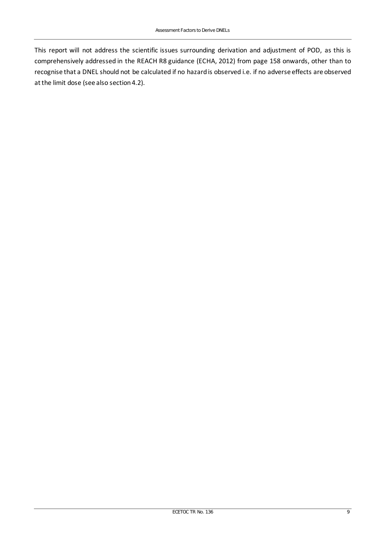This report will not address the scientific issues surrounding derivation and adjustment of POD, as this is comprehensively addressed in the REACH R8 guidance (ECHA, 2012) from page 158 onwards, other than to recognise that a DNEL should not be calculated if no hazard is observed i.e. if no adverse effects are observed at the limit dose (see also section 4.2).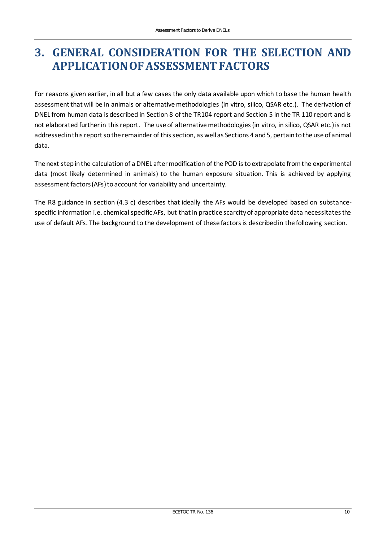## <span id="page-11-0"></span>**3. GENERAL CONSIDERATION FOR THE SELECTION AND APPLICATION OF ASSESSMENT FACTORS**

For reasons given earlier, in all but a few cases the only data available upon which to base the human health assessment that will be in animals or alternative methodologies (in vitro, silico, QSAR etc.). The derivation of DNEL from human data is described in Section 8 of the TR104 report and Section 5 in the TR 110 report and is not elaborated further in this report. The use of alternative methodologies (in vitro, in silico, QSAR etc.) is not addressed in this report so the remainder of this section, as well as Sections 4 and 5, pertain to the use of animal data.

The next step in the calculation of a DNEL after modification of the POD is to extrapolate from the experimental data (most likely determined in animals) to the human exposure situation. This is achieved by applying assessment factors (AFs) to account for variability and uncertainty.

The R8 guidance in section (4.3 c) describes that ideally the AFs would be developed based on substancespecific information i.e. chemical specific AFs, but that in practice scarcity of appropriate data necessitates the use of default AFs. The background to the development of these factors is described in the following section.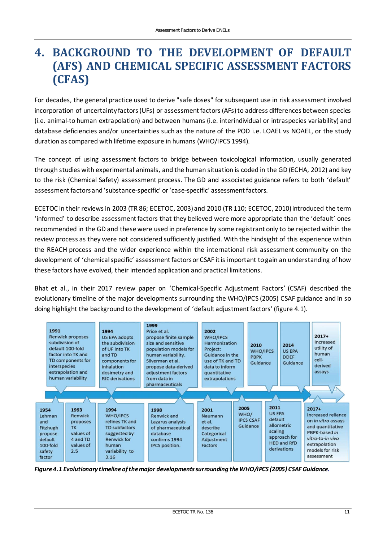## <span id="page-12-0"></span>**4. BACKGROUND TO THE DEVELOPMENT OF DEFAULT (AFS) AND CHEMICAL SPECIFIC ASSESSMENT FACTORS (CFAS)**

For decades, the general practice used to derive "safe doses" for subsequent use in risk assessment involved incorporation of uncertainty factors (UFs) or assessment factors (AFs) to address differences between species (i.e. animal-to human extrapolation) and between humans (i.e. interindividual or intraspecies variability) and database deficiencies and/or uncertainties such as the nature of the POD i.e. LOAEL vs NOAEL, or the study duration as compared with lifetime exposure in humans (WHO/IPCS 1994).

The concept of using assessment factors to bridge between toxicological information, usually generated through studies with experimental animals, and the human situation is coded in the GD (ECHA, 2012) and key to the risk (Chemical Safety) assessment process. The GD and associated guidance refers to both 'default' assessment factors and 'substance-specific' or 'case-specific' assessment factors.

ECETOC in their reviews in 2003 (TR 86; ECETOC, 2003) and 2010 (TR 110; ECETOC, 2010) introduced the term 'informed' to describe assessment factors that they believed were more appropriate than the 'default' ones recommended in the GD and these were used in preference by some registrant only to be rejected within the review process as they were not considered sufficiently justified. With the hindsight of this experience within the REACH process and the wider experience within the international risk assessment community on the development of 'chemical specific' assessment factors or CSAF it is important to gain an understanding of how these factors have evolved, their intended application and practical limitations.

Bhat et al., in their 2017 review paper on 'Chemical-Specific Adjustment Factors' (CSAF) described the evolutionary timeline of the major developments surrounding the WHO/IPCS (2005) CSAF guidance and in so doing highlight the background to the development of 'default adjustment factors' (figure 4.1).



*Figure 4.1 Evolutionary timeline of the major developments surrounding the WHO/IPCS (2005) CSAF Guidance.*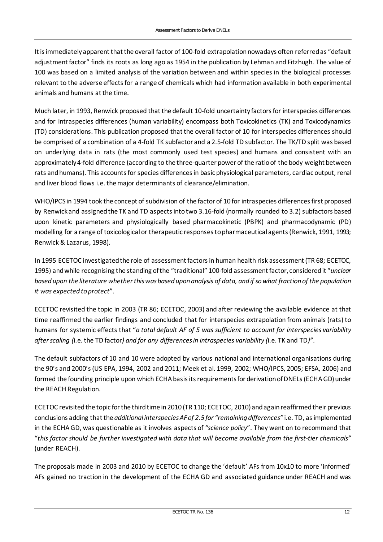It is immediately apparent that the overall factor of 100-fold extrapolation nowadays often referred as "default adjustment factor" finds its roots as long ago as 1954 in the publication by Lehman and Fitzhugh. The value of 100 was based on a limited analysis of the variation between and within species in the biological processes relevant to the adverse effects for a range of chemicals which had information available in both experimental animals and humans at the time.

Much later, in 1993, Renwick proposed that the default 10-fold uncertainty factors for interspecies differences and for intraspecies differences (human variability) encompass both Toxicokinetics (TK) and Toxicodynamics (TD) considerations. This publication proposed that the overall factor of 10 for interspecies differences should be comprised of a combination of a 4-fold TK subfactor and a 2.5-fold TD subfactor. The TK/TD split was based on underlying data in rats (the most commonly used test species) and humans and consistent with an approximately 4-fold difference (according to the three-quarter power of the ratio of the body weight between rats and humans). This accounts for species differences in basic physiological parameters, cardiac output, renal and liver blood flows i.e. the major determinants of clearance/elimination.

WHO/IPCS in 1994 took the concept of subdivision of the factor of 10 for intraspecies differences first proposed by Renwick and assigned the TK and TD aspects into two 3.16-fold (normally rounded to 3.2) subfactors based upon kinetic parameters and physiologically based pharmacokinetic (PBPK) and pharmacodynamic (PD) modelling for a range of toxicological or therapeutic responses to pharmaceutical agents (Renwick, 1991, 1993; Renwick & Lazarus, 1998).

In 1995 ECETOC investigated the role of assessment factors in human health risk assessment (TR 68; ECETOC, 1995) and while recognising the standing of the "traditional" 100-fold assessment factor, considered it "*unclear based upon the literature whether this was based upon analysis of data, and if so what fraction of the population it was expected to protect*".

ECETOC revisited the topic in 2003 (TR 86; ECETOC, 2003) and after reviewing the available evidence at that time reaffirmed the earlier findings and concluded that for interspecies extrapolation from animals (rats) to humans for systemic effects that "*a total default AF of 5 was sufficient to account for interspecies variability after scaling (*i.e. the TD factor*) and for any differences in intraspecies variability (*i.e. TK and TD*)"*.

The default subfactors of 10 and 10 were adopted by various national and international organisations during the 90's and 2000's (US EPA, 1994, 2002 and 2011; Meek et al. 1999, 2002; WHO/IPCS, 2005; EFSA, 2006) and formed the founding principle upon which ECHA basis its requirements for derivation of DNELs (ECHA GD) under the REACH Regulation.

ECETOC revisited the topic for the third time in 2010 (TR 110; ECETOC, 2010) and again reaffirmed their previous conclusions adding that the *additional interspecies AF of 2.5 for "remaining differences"* i.e. TD, as implemented in the ECHA GD, was questionable as it involves aspects of *"science policy*". They went on to recommend that "*this factor should be further investigated with data that will become available from the first-tier chemicals"*  (under REACH).

The proposals made in 2003 and 2010 by ECETOC to change the 'default' AFs from 10x10 to more 'informed' AFs gained no traction in the development of the ECHA GD and associated guidance under REACH and was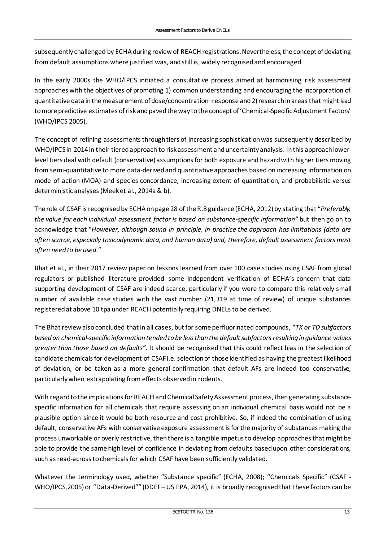subsequently challenged by ECHA during review of REACH registrations. Nevertheless, the concept of deviating from default assumptions where justified was, and still is, widely recognised and encouraged.

In the early 2000s the WHO/IPCS initiated a consultative process aimed at harmonising risk assessment approaches with the objectives of promoting 1) common understanding and encouraging the incorporation of quantitative data in the measurement of dose/concentration–response and 2) research in areas that might lead to more predictive estimates of risk and paved the way to the concept of 'Chemical-Specific Adjustment Factors' (WHO/IPCS 2005).

The concept of refining assessments through tiers of increasing sophistication was subsequently described by WHO/IPCS in 2014 in their tiered approach to risk assessment and uncertainty analysis. In this approach lowerlevel tiers deal with default (conservative) assumptions for both exposure and hazard with higher tiers moving from semi-quantitative to more data-derived and quantitative approaches based on increasing information on mode of action (MOA) and species concordance, increasing extent of quantitation, and probabilistic versus deterministic analyses (Meek et al., 2014a & b).

The role of CSAF is recognised by ECHA on page 28 of the R.8 guidance (ECHA, 2012) by stating that "*Preferably, the value for each individual assessment factor is based on substance-specific information"* but then go on to acknowledge that "*However, although sound in principle, in practice the approach has limitations (data are often scarce, especially toxicodynamic data, and human data) and, therefore, default assessment factors most often need to be used*."

Bhat et al., in their 2017 review paper on lessons learned from over 100 case studies using CSAF from global regulators or published literature provided some independent verification of ECHA's concern that data supporting development of CSAF are indeed scarce, particularly if you were to compare this relatively small number of available case studies with the vast number (21,319 at time of review) of unique substances registered at above 10 tpa under REACH potentially requiring DNELs to be derived.

The Bhat review also concluded that in all cases, but for some perfluorinated compounds, "TK or TD subfactors *based on chemical-specific information tended to be less than the default subfactors resulting in guidance values greater than those based on defaults"*. It should be recognised that this could reflect bias in the selection of candidate chemicals for development of CSAF i.e. selection of those identified as having the greatest likelihood of deviation, or be taken as a more general confirmation that default AFs are indeed too conservative, particularly when extrapolating from effects observed in rodents.

With regard to the implications for REACH and Chemical Safety Assessment process, then generating substancespecific information for all chemicals that require assessing on an individual chemical basis would not be a plausible option since it would be both resource and cost prohibitive. So, if indeed the combination of using default, conservative AFs with conservative exposure assessment is for the majority of substances making the process unworkable or overly restrictive, then there is a tangible impetus to develop approaches that might be able to provide the same high level of confidence in deviating from defaults based upon other considerations, such as read-across to chemicals for which CSAF have been sufficiently validated.

Whatever the terminology used, whether "Substance specific" (ECHA, 2008); "Chemicals Specific" (CSAF -WHO/IPCS, 2005) or "Data-Derived"" (DDEF-US EPA, 2014), it is broadly recognised that these factors can be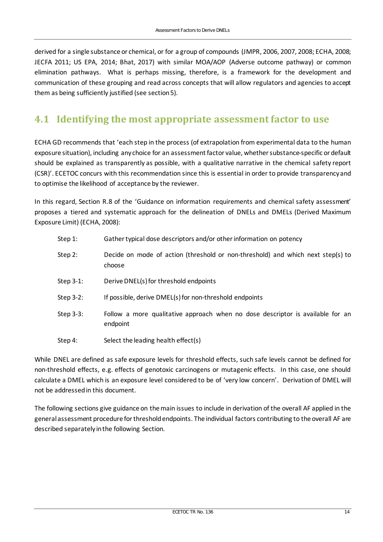derived for a single substance or chemical, or for a group of compounds (JMPR, 2006, 2007, 2008; ECHA, 2008; JECFA 2011; US EPA, 2014; Bhat, 2017) with similar MOA/AOP (Adverse outcome pathway) or common elimination pathways. What is perhaps missing, therefore, is a framework for the development and communication of these grouping and read across concepts that will allow regulators and agencies to accept them as being sufficiently justified (see section 5).

### <span id="page-15-0"></span>**4.1 Identifying the most appropriate assessment factor to use**

ECHA GD recommends that 'each step in the process (of extrapolation from experimental data to the human exposure situation), including any choice for an assessment factor value, whether substance-specific or default should be explained as transparently as possible, with a qualitative narrative in the chemical safety report (CSR)'. ECETOC concurs with this recommendation since this is essential in order to provide transparency and to optimise the likelihood of acceptance by the reviewer.

In this regard, Section R.8 of the 'Guidance on information requirements and chemical safety assessment' proposes a tiered and systematic approach for the delineation of DNELs and DMELs (Derived Maximum Exposure Limit) (ECHA, 2008):

| Step 1:   | Gather typical dose descriptors and/or other information on potency                        |
|-----------|--------------------------------------------------------------------------------------------|
| Step 2:   | Decide on mode of action (threshold or non-threshold) and which next step(s) to<br>choose  |
| Step 3-1: | Derive DNEL(s) for threshold endpoints                                                     |
| Step 3-2: | If possible, derive DMEL(s) for non-threshold endpoints                                    |
| Step 3-3: | Follow a more qualitative approach when no dose descriptor is available for an<br>endpoint |

Step 4: Select the leading health effect(s)

While DNEL are defined as safe exposure levels for threshold effects, such safe levels cannot be defined for non-threshold effects, e.g. effects of genotoxic carcinogens or mutagenic effects. In this case, one should calculate a DMEL which is an exposure level considered to be of 'very low concern'. Derivation of DMEL will not be addressed in this document.

The following sections give guidance on the main issues to include in derivation of the overall AF applied in the general assessment procedure for threshold endpoints. The individual factors contributing to the overall AF are described separately in the following Section.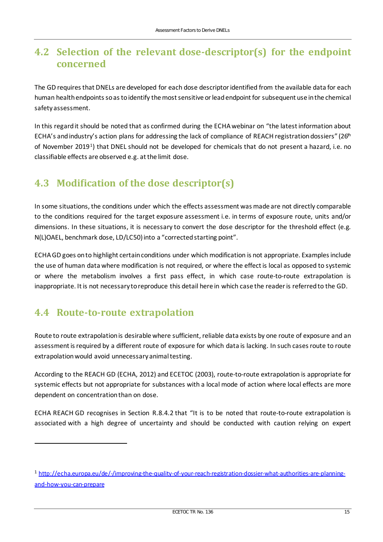### <span id="page-16-0"></span>**4.2 Selection of the relevant dose-descriptor(s) for the endpoint concerned**

The GD requires that DNELs are developed for each dose descriptor identified from the available data for each human health endpoints so as to identify the most sensitive or lead endpoint for subsequent use in the chemical safety assessment.

In this regard it should be noted that as confirmed during the ECHA webinar on "the latest information about ECHA's and industry's action plans for addressing the lack of compliance of REACH registration dossiers" ( $26<sup>th</sup>$ of November 2019[1](#page-16-3)) that DNEL should not be developed for chemicals that do not present a hazard, i.e. no classifiable effects are observed e.g. at the limit dose.

### <span id="page-16-1"></span>**4.3 Modification of the dose descriptor(s)**

In some situations, the conditions under which the effects assessment was made are not directly comparable to the conditions required for the target exposure assessment i.e. in terms of exposure route, units and/or dimensions. In these situations, it is necessary to convert the dose descriptor for the threshold effect (e.g. N(L)OAEL, benchmark dose, LD/LC50) into a "corrected starting point".

ECHA GD goes on to highlight certain conditions under which modification is not appropriate. Examples include the use of human data where modification is not required, or where the effect is local as opposed to systemic or where the metabolism involves a first pass effect, in which case route-to-route extrapolation is inappropriate. It is not necessary to reproduce this detail here in which case the reader is referred to the GD.

### <span id="page-16-2"></span>**4.4 Route-to-route extrapolation**

Route to route extrapolation is desirable where sufficient, reliable data exists by one route of exposure and an assessment is required by a different route of exposure for which data is lacking. In such cases route to route extrapolation would avoid unnecessary animal testing.

According to the REACH GD (ECHA, 2012) and ECETOC (2003), route-to-route extrapolation is appropriate for systemic effects but not appropriate for substances with a local mode of action where local effects are more dependent on concentration than on dose.

ECHA REACH GD recognises in Section R.8.4.2 that "It is to be noted that route-to-route extrapolation is associated with a high degree of uncertainty and should be conducted with caution relying on expert

<span id="page-16-3"></span><sup>1</sup> [http://echa.europa.eu/de/-/improving-the-quality-of-your-reach-registration-dossier-what-authorities-are-planning](http://echa.europa.eu/de/-/improving-the-quality-of-your-reach-registration-dossier-what-authorities-are-planning-and-how-you-can-prepare)[and-how-you-can-prepare](http://echa.europa.eu/de/-/improving-the-quality-of-your-reach-registration-dossier-what-authorities-are-planning-and-how-you-can-prepare)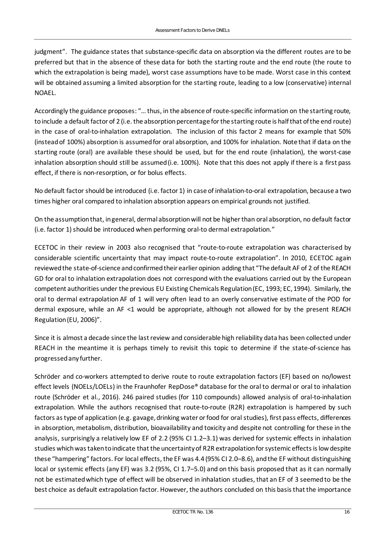judgment". The guidance states that substance-specific data on absorption via the different routes are to be preferred but that in the absence of these data for both the starting route and the end route (the route to which the extrapolation is being made), worst case assumptions have to be made. Worst case in this context will be obtained assuming a limited absorption for the starting route, leading to a low (conservative) internal NOAEL.

Accordingly the guidance proposes: "… thus, in the absence of route-specific information on the starting route, to include a default factor of 2 (i.e. the absorption percentage for the starting route is half that of the end route) in the case of oral-to-inhalation extrapolation. The inclusion of this factor 2 means for example that 50% (instead of 100%) absorption is assumed for oral absorption, and 100% for inhalation. Note that if data on the starting route (oral) are available these should be used, but for the end route (inhalation), the worst-case inhalation absorption should still be assumed (i.e. 100%). Note that this does not apply if there is a first pass effect, if there is non-resorption, or for bolus effects.

No default factor should be introduced (i.e. factor 1) in case of inhalation-to-oral extrapolation, because a two times higher oral compared to inhalation absorption appears on empirical grounds not justified.

On the assumption that, in general, dermal absorption will not be higher than oral absorption, no default factor (i.e. factor 1) should be introduced when performing oral-to dermal extrapolation."

ECETOC in their review in 2003 also recognised that "route-to-route extrapolation was characterised by considerable scientific uncertainty that may impact route-to-route extrapolation". In 2010, ECETOC again reviewed the state-of-science and confirmed their earlier opinion adding that "The default AF of 2 of the REACH GD for oral to inhalation extrapolation does not correspond with the evaluations carried out by the European competent authorities under the previous EU Existing Chemicals Regulation (EC, 1993; EC, 1994). Similarly, the oral to dermal extrapolation AF of 1 will very often lead to an overly conservative estimate of the POD for dermal exposure, while an AF <1 would be appropriate, although not allowed for by the present REACH Regulation (EU, 2006)".

Since it is almost a decade since the last review and considerable high reliability data has been collected under REACH in the meantime it is perhaps timely to revisit this topic to determine if the state-of-science has progressed any further.

Schröder and co-workers attempted to derive route to route extrapolation factors (EF) based on no/lowest effect levels (NOELs/LOELs) in the Fraunhofer RepDose® database for the oral to dermal or oral to inhalation route (Schröder et al., 2016). 246 paired studies (for 110 compounds) allowed analysis of oral-to-inhalation extrapolation. While the authors recognised that route-to-route (R2R) extrapolation is hampered by such factors as type of application (e.g. gavage, drinking water or food for oral studies), first pass effects, differences in absorption, metabolism, distribution, bioavailability and toxicity and despite not controlling for these in the analysis, surprisingly a relatively low EF of 2.2 (95% CI 1.2–3.1) was derived for systemic effects in inhalation studies which was taken to indicate that the uncertainty of R2R extrapolation for systemic effects is low despite these "hampering" factors. For local effects, the EF was 4.4 (95% CI 2.0–8.6), and the EF without distinguishing local or systemic effects (any EF) was 3.2 (95%, CI 1.7–5.0) and on this basis proposed that as it can normally not be estimated which type of effect will be observed in inhalation studies, that an EF of 3 seemed to be the best choice as default extrapolation factor. However, the authors concluded on this basis that the importance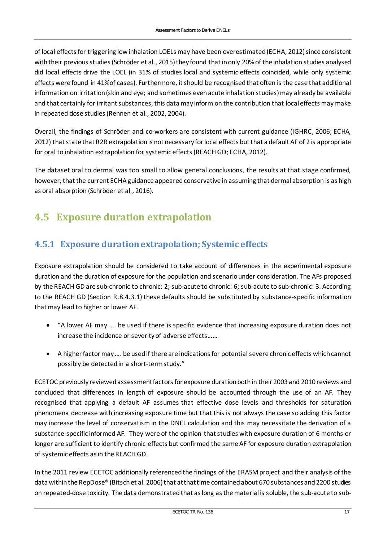of local effects for triggering low inhalation LOELs may have been overestimated (ECHA, 2012) since consistent with their previous studies (Schröder et al., 2015) they found that in only 20% of the inhalation studies analysed did local effects drive the LOEL (in 31% of studies local and systemic effects coincided, while only systemic effects were found in 41%of cases). Furthermore, it should be recognised that often is the case that additional information on irritation (skin and eye; and sometimes even acute inhalation studies) may already be available and that certainly for irritant substances, this data may inform on the contribution that local effects may make in repeated dose studies (Rennen et al., 2002, 2004).

Overall, the findings of Schröder and co-workers are consistent with current guidance (IGHRC, 2006; ECHA, 2012) that state that R2R extrapolation is not necessary for local effects but that a default AF of 2 is appropriate for oral to inhalation extrapolation for systemic effects (REACH GD; ECHA, 2012).

The dataset oral to dermal was too small to allow general conclusions, the results at that stage confirmed, however, that the current ECHA guidance appeared conservative in assuming that dermal absorption is as high as oral absorption (Schröder et al., 2016).

### <span id="page-18-0"></span>**4.5 Exposure duration extrapolation**

#### <span id="page-18-1"></span>**4.5.1 Exposure duration extrapolation; Systemic effects**

Exposure extrapolation should be considered to take account of differences in the experimental exposure duration and the duration of exposure for the population and scenario under consideration. The AFs proposed by the REACH GD are sub-chronic to chronic: 2; sub-acute to chronic: 6; sub-acute to sub-chronic: 3. According to the REACH GD (Section R.8.4.3.1) these defaults should be substituted by substance-specific information that may lead to higher or lower AF.

- "A lower AF may …. be used if there is specific evidence that increasing exposure duration does not increase the incidence or severity of adverse effects……
- A higher factor may …. be used if there are indications for potential severe chronic effects which cannot possibly be detected in a short-term study."

ECETOC previously reviewed assessment factors for exposure duration both in their 2003 and 2010 reviews and concluded that differences in length of exposure should be accounted through the use of an AF. They recognised that applying a default AF assumes that effective dose levels and thresholds for saturation phenomena decrease with increasing exposure time but that this is not always the case so adding this factor may increase the level of conservatism in the DNEL calculation and this may necessitate the derivation of a substance-specific informed AF. They were of the opinion that studies with exposure duration of 6 months or longer are sufficient to identify chronic effects but confirmed the same AF for exposure duration extrapolation of systemic effects as in the REACH GD.

In the 2011 review ECETOC additionally referenced the findings of the ERASM project and their analysis of the data within the RepDose® (Bitsch et al. 2006) that at that time contained about 670 substances and 2200 studies on repeated-dose toxicity. The data demonstrated that as long as the material is soluble, the sub-acute to sub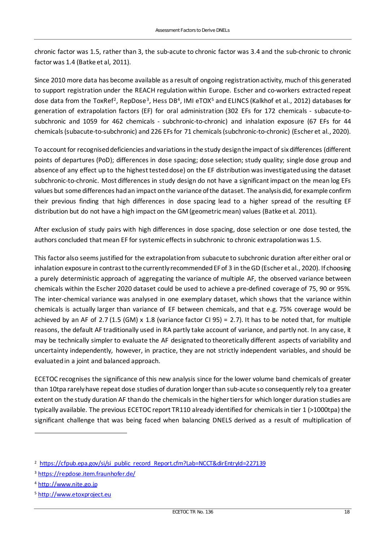chronic factor was 1.5, rather than 3, the sub-acute to chronic factor was 3.4 and the sub-chronic to chronic factor was 1.4 (Batke et al, 2011).

Since 2010 more data has become available as a result of ongoing registration activity, much of this generated to support registration under the REACH regulation within Europe. Escher and co-workers extracted repeat dose data from the ToxRef<sup>[2](#page-19-0)</sup>, RepDose<sup>[3](#page-19-1)</sup>, Hess DB<sup>[4](#page-19-2)</sup>, IMI eTOX<sup>[5](#page-19-3)</sup> and ELINCS (Kalkhof et al., 2012) databases for generation of extrapolation factors (EF) for oral administration (302 EFs for 172 chemicals - subacute-tosubchronic and 1059 for 462 chemicals - subchronic-to-chronic) and inhalation exposure (67 EFs for 44 chemicals (subacute-to-subchronic) and 226 EFs for 71 chemicals (subchronic-to-chronic) (Escher et al., 2020).

To account for recognised deficiencies and variations in the study design the impact of six differences (different points of departures (PoD); differences in dose spacing; dose selection; study quality; single dose group and absence of any effect up to the highest tested dose) on the EF distribution was investigated using the dataset subchronic-to-chronic. Most differences in study design do not have a significant impact on the mean log EFs values but some differences had an impact onthe variance of the dataset. The analysis did, for example confirm their previous finding that high differences in dose spacing lead to a higher spread of the resulting EF distribution but do not have a high impact on the GM (geometric mean) values (Batke et al. 2011).

After exclusion of study pairs with high differences in dose spacing, dose selection or one dose tested, the authors concluded that mean EF for systemic effects in subchronic to chronic extrapolation was 1.5.

This factor also seems justified for the extrapolation from subacute to subchronic duration after either oral or inhalation exposure in contrast to the currently recommended EF of 3 in the GD (Escher et al., 2020). If choosing a purely deterministic approach of aggregating the variance of multiple AF, the observed variance between chemicals within the Escher 2020 dataset could be used to achieve a pre-defined coverage of 75, 90 or 95%. The inter-chemical variance was analysed in one exemplary dataset, which shows that the variance within chemicals is actually larger than variance of EF between chemicals, and that e.g. 75% coverage would be achieved by an AF of 2.7 (1.5 (GM) x 1.8 (variance factor CI 95) = 2.7). It has to be noted that, for multiple reasons, the default AF traditionally used in RA partly take account of variance, and partly not. In any case, it may be technically simpler to evaluate the AF designated to theoretically different aspects of variability and uncertainty independently, however, in practice, they are not strictly independent variables, and should be evaluated in a joint and balanced approach.

ECETOC recognises the significance of this new analysis since for the lower volume band chemicals of greater than 10tpa rarely have repeat dose studies of duration longer than sub-acute so consequently rely to a greater extent on the study duration AF than do the chemicals in the higher tiers for which longer duration studies are typically available. The previous ECETOC report TR110 already identified for chemicals in tier 1 (>1000tpa) the significant challenge that was being faced when balancing DNELS derived as a result of multiplication of

<span id="page-19-0"></span><sup>&</sup>lt;sup>2</sup> [https://cfpub.epa.gov/si/si\\_public\\_record\\_Report.cfm?Lab=NCCT&dirEntryId=227139](https://cfpub.epa.gov/si/si_public_record_Report.cfm?Lab=NCCT&dirEntryId=227139)

<span id="page-19-1"></span><sup>3</sup> <https://repdose.item.fraunhofer.de/>

<span id="page-19-2"></span><sup>4</sup> [http://www.nite.go.jp](http://www.nite.go.jp/)

<span id="page-19-3"></span><sup>5</sup> [http://www.etoxproject.eu](http://www.etoxproject.eu/)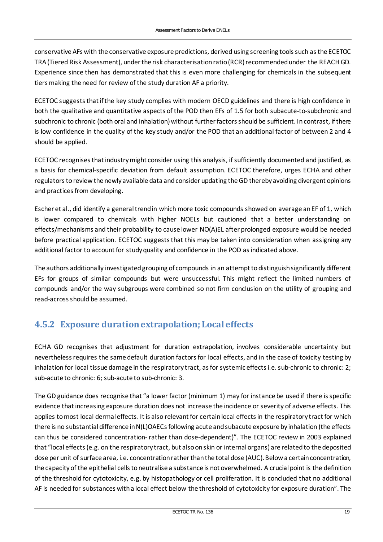conservative AFs with the conservative exposure predictions, derived using screening tools such as the ECETOC TRA(Tiered Risk Assessment), under the risk characterisation ratio (RCR) recommended under the REACH GD. Experience since then has demonstrated that this is even more challenging for chemicals in the subsequent tiers making the need for review of the study duration AF a priority.

ECETOC suggests that if the key study complies with modern OECD guidelines and there is high confidence in both the qualitative and quantitative aspects of the POD then EFs of 1.5 for both subacute-to-subchronic and subchronic to chronic (both oral and inhalation) without further factors should be sufficient. In contrast, if there is low confidence in the quality of the key study and/or the POD that an additional factor of between 2 and 4 should be applied.

ECETOC recognises that industry might consider using this analysis, if sufficiently documented and justified, as a basis for chemical-specific deviation from default assumption. ECETOC therefore, urges ECHA and other regulators to review the newly available data and consider updating the GD thereby avoiding divergent opinions and practices from developing.

Escher et al., did identify a general trend in which more toxic compounds showed on average an EF of 1, which is lower compared to chemicals with higher NOELs but cautioned that a better understanding on effects/mechanisms and their probability to cause lower NO(A)EL after prolonged exposure would be needed before practical application. ECETOC suggests that this may be taken into consideration when assigning any additional factor to account for study quality and confidence in the POD as indicated above.

The authors additionally investigated grouping of compounds in an attempt to distinguish significantly different EFs for groups of similar compounds but were unsuccessful. This might reflect the limited numbers of compounds and/or the way subgroups were combined so not firm conclusion on the utility of grouping and read-across should be assumed.

#### <span id="page-20-0"></span>**4.5.2 Exposure duration extrapolation; Local effects**

ECHA GD recognises that adjustment for duration extrapolation, involves considerable uncertainty but nevertheless requires the same default duration factors for local effects, and in the case of toxicity testing by inhalation for local tissue damage in the respiratory tract, as for systemic effects i.e. sub-chronic to chronic: 2; sub-acute to chronic: 6; sub-acute to sub-chronic: 3.

The GD guidance does recognise that "a lower factor (minimum 1) may for instance be used if there is specific evidence that increasing exposure duration does not increase the incidence or severity of adverse effects. This applies to most local dermal effects. It is also relevant for certain local effects in the respiratory tract for which there is no substantial difference in N(L)OAECs following acute and subacute exposure by inhalation (the effects can thus be considered concentration- rather than dose-dependent)". The ECETOC review in 2003 explained that "local effects (e.g. on the respiratory tract, but also on skin or internal organs) are related to the deposited dose per unit of surface area, i.e. concentration rather than the total dose (AUC). Below a certain concentration, the capacity of the epithelial cells to neutralise a substance is not overwhelmed. A crucial point is the definition of the threshold for cytotoxicity, e.g. by histopathology or cell proliferation. It is concluded that no additional AF is needed for substances with a local effect below the threshold of cytotoxicity for exposure duration". The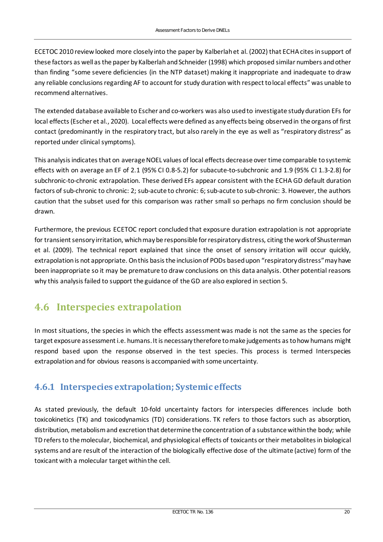ECETOC 2010 review looked more closely into the paper by Kalberlah et al. (2002) that ECHA cites in support of these factors as well as the paper by Kalberlah and Schneider (1998) which proposed similar numbers and other than finding "some severe deficiencies (in the NTP dataset) making it inappropriate and inadequate to draw any reliable conclusions regarding AF to account for study duration with respect to local effects" was unable to recommend alternatives.

The extended database available to Escher and co-workers was also used to investigate study duration EFs for local effects (Escher et al., 2020). Local effects were defined as any effects being observed in the organs of first contact (predominantly in the respiratory tract, but also rarely in the eye as well as "respiratory distress" as reported under clinical symptoms).

This analysis indicates that on average NOEL values of local effects decrease over time comparable to systemic effects with on average an EF of 2.1 (95% CI 0.8-5.2) for subacute-to-subchronic and 1.9 (95% CI 1.3-2.8) for subchronic-to-chronic extrapolation. These derived EFs appear consistent with the ECHA GD default duration factors of sub-chronic to chronic: 2; sub-acute to chronic: 6; sub-acute to sub-chronic: 3. However, the authors caution that the subset used for this comparison was rather small so perhaps no firm conclusion should be drawn.

Furthermore, the previous ECETOC report concluded that exposure duration extrapolation is not appropriate for transient sensory irritation, which may be responsible for respiratory distress, citing the work of Shusterman et al. (2009). The technical report explained that since the onset of sensory irritation will occur quickly, extrapolation is not appropriate. On this basis the inclusion of PODs based upon "respiratory distress" may have been inappropriate so it may be premature to draw conclusions on this data analysis. Other potential reasons why this analysis failed to support the guidance of the GD are also explored in section 5.

### <span id="page-21-0"></span>**4.6 Interspecies extrapolation**

In most situations, the species in which the effects assessment was made is not the same as the species for target exposure assessment i.e. humans. It is necessary therefore to make judgements as to how humans might respond based upon the response observed in the test species. This process is termed Interspecies extrapolation and for obvious reasons is accompanied with some uncertainty.

#### <span id="page-21-1"></span>**4.6.1 Interspecies extrapolation; Systemic effects**

As stated previously, the default 10-fold uncertainty factors for interspecies differences include both toxicokinetics (TK) and toxicodynamics (TD) considerations. TK refers to those factors such as absorption, distribution, metabolism and excretion that determine the concentration of a substance within the body; while TD refers to the molecular, biochemical, and physiological effects of toxicants or their metabolites in biological systems and are result of the interaction of the biologically effective dose of the ultimate (active) form of the toxicant with a molecular target within the cell.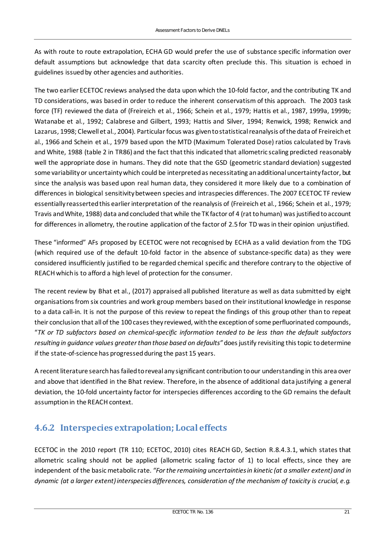As with route to route extrapolation, ECHA GD would prefer the use of substance specific information over default assumptions but acknowledge that data scarcity often preclude this. This situation is echoed in guidelines issued by other agencies and authorities.

The two earlier ECETOC reviews analysed the data upon which the 10-fold factor, and the contributing TK and TD considerations, was based in order to reduce the inherent conservatism of this approach. The 2003 task force (TF) reviewed the data of (Freireich et al., 1966; Schein et al., 1979; Hattis et al., 1987, 1999a, 1999b; Watanabe et al., 1992; Calabrese and Gilbert, 1993; Hattis and Silver, 1994; Renwick, 1998; Renwick and Lazarus, 1998; Clewell et al., 2004). Particular focus was given to statistical reanalysis of the data of Freireich et al., 1966 and Schein et al., 1979 based upon the MTD (Maximum Tolerated Dose) ratios calculated by Travis and White, 1988 (table 2 in TR86) and the fact that this indicated that allometric scaling predicted reasonably well the appropriate dose in humans. They did note that the GSD (geometric standard deviation) suggested some variability or uncertainty which could be interpreted as necessitating an additional uncertainty factor, but since the analysis was based upon real human data, they considered it more likely due to a combination of differences in biological sensitivity between species and intraspecies differences. The 2007 ECETOC TF review essentially reasserted this earlier interpretation of the reanalysis of (Freireich et al., 1966; Schein et al., 1979; Travis and White, 1988) data and concluded that while the TK factor of 4 (rat to human) was justified to account for differences in allometry, the routine application of the factor of 2.5 for TD was in their opinion unjustified.

These "informed" AFs proposed by ECETOC were not recognised by ECHA as a valid deviation from the TDG (which required use of the default 10-fold factor in the absence of substance-specific data) as they were considered insufficiently justified to be regarded chemical specific and therefore contrary to the objective of REACH which is to afford a high level of protection for the consumer.

The recent review by Bhat et al., (2017) appraised all published literature as well as data submitted by eight organisations from six countries and work group members based on their institutional knowledge in response to a data call-in. It is not the purpose of this review to repeat the findings of this group other than to repeat their conclusion that all of the 100 cases they reviewed, with the exception of some perfluorinated compounds, "*TK or TD subfactors based on chemical-specific information tended to be less than the default subfactors resulting in guidance values greater than those based on defaults"* does justify revisiting this topic to determine if the state-of-science has progressed during the past 15 years.

A recent literature search has failed to reveal any significant contribution to our understanding in this area over and above that identified in the Bhat review. Therefore, in the absence of additional data justifying a general deviation, the 10-fold uncertainty factor for interspecies differences according to the GD remains the default assumptionin the REACH context.

#### <span id="page-22-0"></span>**4.6.2 Interspecies extrapolation; Local effects**

ECETOC in the 2010 report (TR 110; ECETOC, 2010) cites REACH GD, Section R.8.4.3.1, which states that allometric scaling should not be applied (allometric scaling factor of 1) to local effects, since they are independent of the basic metabolic rate. *"For the remaining uncertainties in kinetic (at a smaller extent) and in dynamic (at a larger extent) interspecies differences, consideration of the mechanism of toxicity is crucial, e.g.*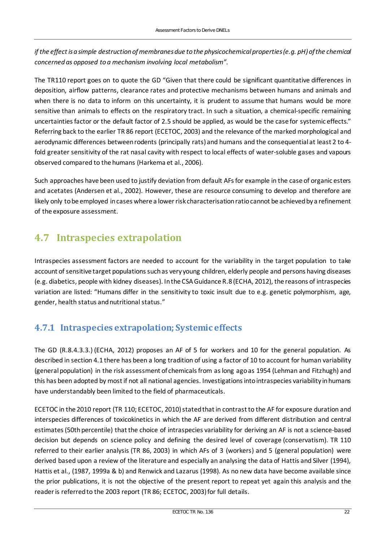*if the effect is a simple destruction of membranes due to the physicochemical properties (e.g. pH) of the chemical concerned as opposed to a mechanism involving local metabolism".*

The TR110 report goes on to quote the GD "Given that there could be significant quantitative differences in deposition, airflow patterns, clearance rates and protective mechanisms between humans and animals and when there is no data to inform on this uncertainty, it is prudent to assume that humans would be more sensitive than animals to effects on the respiratory tract. In such a situation, a chemical-specific remaining uncertainties factor or the default factor of 2.5 should be applied, as would be the case for systemic effects." Referring back to the earlier TR 86 report (ECETOC, 2003) and the relevance of the marked morphological and aerodynamic differences between rodents (principally rats) and humans and the consequential at least 2 to 4 fold greater sensitivity of the rat nasal cavity with respect to local effects of water-soluble gases and vapours observed compared to the humans (Harkema et al., 2006).

Such approaches have been used to justify deviation from default AFs for example in the case of organic esters and acetates (Andersen et al., 2002). However, these are resource consuming to develop and therefore are likely only to be employed in cases where a lower risk characterisation ratio cannot be achieved by a refinement of the exposure assessment.

### <span id="page-23-0"></span>**4.7 Intraspecies extrapolation**

Intraspecies assessment factors are needed to account for the variability in the target population to take account of sensitive target populations such as very young children, elderly people and persons having diseases (e.g. diabetics, people with kidney diseases). In the CSA Guidance R.8 (ECHA, 2012), the reasons of intraspecies variation are listed: "Humans differ in the sensitivity to toxic insult due to e.g. genetic polymorphism, age, gender, health status and nutritional status."

#### <span id="page-23-1"></span>**4.7.1 Intraspecies extrapolation; Systemic effects**

The GD (R.8.4.3.3.) (ECHA, 2012) proposes an AF of 5 for workers and 10 for the general population. As described in section 4.1 there has been a long tradition of using a factor of 10 to account for human variability (general population) in the risk assessment of chemicals from as long ago as 1954 (Lehman and Fitzhugh) and this has been adopted by most if not all national agencies. Investigations into intraspecies variability in humans have understandably been limited to the field of pharmaceuticals.

ECETOC in the 2010 report (TR 110; ECETOC, 2010) statedthat in contrast to the AF for exposure duration and interspecies differences of toxicokinetics in which the AF are derived from different distribution and central estimates (50th percentile) that the choice of intraspecies variability for deriving an AF is not a science-based decision but depends on science policy and defining the desired level of coverage (conservatism). TR 110 referred to their earlier analysis (TR 86, 2003) in which AFs of 3 (workers) and 5 (general population) were derived based upon a review of the literature and especially an analysing the data of Hattis and Silver (1994), Hattis et al., (1987, 1999a & b) and Renwick and Lazarus (1998). As no new data have become available since the prior publications, it is not the objective of the present report to repeat yet again this analysis and the reader is referred to the 2003 report (TR 86; ECETOC, 2003) for full details.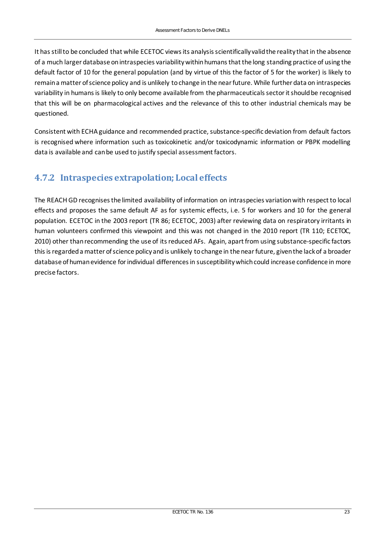It has still to be concluded that while ECETOC views its analysis scientifically valid the reality that in the absence of a much larger database on intraspecies variability within humans that the long standing practice of using the default factor of 10 for the general population (and by virtue of this the factor of 5 for the worker) is likely to remain a matter of science policy and is unlikely to change in the near future. While further data on intraspecies variability in humans is likely to only become available from the pharmaceuticals sector it should be recognised that this will be on pharmacological actives and the relevance of this to other industrial chemicals may be questioned.

Consistent with ECHA guidance and recommended practice, substance-specific deviation from default factors is recognised where information such as toxicokinetic and/or toxicodynamic information or PBPK modelling data is available and can be used to justify special assessment factors.

#### <span id="page-24-0"></span>**4.7.2 Intraspecies extrapolation; Local effects**

The REACH GD recognises the limited availability of information on intraspecies variation with respect to local effects and proposes the same default AF as for systemic effects, i.e. 5 for workers and 10 for the general population. ECETOC in the 2003 report (TR 86; ECETOC, 2003) after reviewing data on respiratory irritants in human volunteers confirmed this viewpoint and this was not changed in the 2010 report (TR 110; ECETOC, 2010) other than recommending the use of its reduced AFs. Again, apart from using substance-specific factors this is regarded a matter of science policy and is unlikely to change in the near future, given the lack of a broader database of human evidence for individual differences in susceptibility which could increase confidence in more precise factors.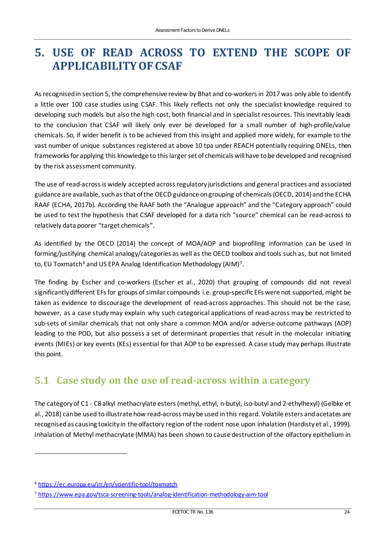### <span id="page-25-0"></span>**5. USE OF READ ACROSS TO EXTEND THE SCOPE OF APPLICABILITY OF CSAF**

As recognised in section 5, the comprehensive review by Bhat and co-workers in 2017 was only able to identify a little over 100 case studies using CSAF. This likely reflects not only the specialist knowledge required to developing such models but also the high cost, both financial and in specialist resources. This inevitably leads to the conclusion that CSAF will likely only ever be developed for a small number of high-profile/value chemicals. So, if wider benefit is to be achieved from this insight and applied more widely, for example to the vast number of unique substances registered at above 10 tpa under REACH potentially requiring DNELs, then frameworks for applying this knowledge to this larger set of chemicals will have to be developed and recognised by the risk assessment community.

The use of read-across is widely accepted across regulatory jurisdictions and general practices and associated guidance are available, such as that of the OECD guidance on grouping of chemicals (OECD, 2014) and the ECHA RAAF (ECHA, 2017b). According the RAAF both the "Analogue approach" and the "Category approach" could be used to test the hypothesis that CSAF developed for a data rich "source" chemical can be read-across to relatively data poorer "target chemicals".

As identified by the OECD (2014) the concept of MOA/AOP and bioprofiling information can be used in forming/justifying chemical analogy/categories as well as the OECD toolbox and tools such as, but not limited to, EU Toxmatch<sup>[6](#page-25-2)</sup> and US EPA Analog Identification Methodology (AIM)<sup>[7](#page-25-3)</sup>.

The finding by Escher and co-workers (Escher et al., 2020) that grouping of compounds did not reveal significantly different EFs for groups of similar compounds i.e. group-specific EFs were not supported, might be taken as evidence to discourage the development of read-across approaches. This should not be the case, however, as a case study may explain why such categorical applications of read-across may be restricted to sub-sets of similar chemicals that not only share a common MOA and/or adverse outcome pathways (AOP) leading to the POD, but also possess a set of determinant properties that result in the molecular initiating events (MIEs) or key events (KEs) essential for that AOP to be expressed. A case study may perhaps illustrate this point.

### <span id="page-25-1"></span>**5.1 Case study on the use of read-across within a category**

The category of C1 - C8 alkyl methacrylate esters (methyl, ethyl, n-butyl, iso-butyl and 2-ethylhexyl) (Gelbke et al., 2018) can be used to illustrate how read-across may be used in this regard. Volatile esters and acetates are recognised as causing toxicity in the olfactory region of the rodent nose upon inhalation (Hardisty et al., 1999). Inhalation of Methyl methacrylate (MMA) has been shown to cause destruction of the olfactory epithelium in

<span id="page-25-2"></span><sup>6</sup> <https://ec.europa.eu/jrc/en/scientific-tool/toxmatch>

<span id="page-25-3"></span><sup>7</sup> <https://www.epa.gov/tsca-screening-tools/analog-identification-methodology-aim-tool>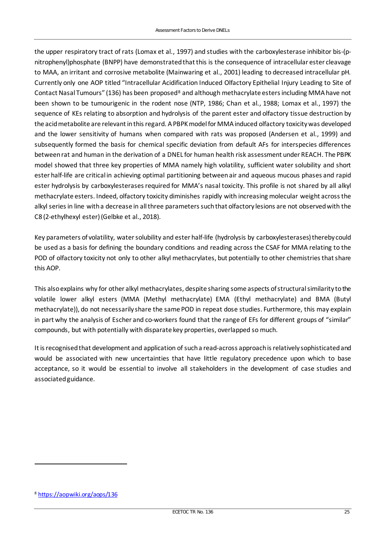the upper respiratory tract of rats (Lomax et al., 1997) and studies with the carboxylesterase inhibitor bis-(pnitrophenyl)phosphate (BNPP) have demonstrated that this is the consequence of intracellular ester cleavage to MAA, an irritant and corrosive metabolite (Mainwaring et al., 2001) leading to decreased intracellular pH. Currently only one AOP titled "Intracellular Acidification Induced Olfactory Epithelial Injury Leading to Site of Contact Nasal Tumours" (136) has been proposed<sup>[8](#page-26-0)</sup> and although methacrylate esters including MMA have not been shown to be tumourigenic in the rodent nose (NTP, 1986; Chan et al., 1988; Lomax et al., 1997) the sequence of KEs relating to absorption and hydrolysis of the parent ester and olfactory tissue destruction by the acid metabolite are relevant in this regard. A PBPK model for MMA induced olfactory toxicity was developed and the lower sensitivity of humans when compared with rats was proposed (Andersen et al., 1999) and subsequently formed the basis for chemical specific deviation from default AFs for interspecies differences between rat and human in the derivation of a DNEL for human health risk assessment under REACH. The PBPK model showed that three key properties of MMA namely high volatility, sufficient water solubility and short ester half-life are critical in achieving optimal partitioning between air and aqueous mucous phases and rapid ester hydrolysis by carboxylesterases required for MMA's nasal toxicity. This profile is not shared by all alkyl methacrylate esters. Indeed, olfactory toxicity diminishes rapidly with increasing molecular weight across the alkyl series in line with a decrease in all three parameters such that olfactory lesions are not observed with the C8 (2-ethylhexyl ester) (Gelbke et al., 2018).

Key parameters of volatility, water solubility and ester half-life (hydrolysis by carboxylesterases) thereby could be used as a basis for defining the boundary conditions and reading across the CSAF for MMA relating to the POD of olfactory toxicity not only to other alkyl methacrylates, but potentially to other chemistries that share this AOP.

This also explains why for other alkyl methacrylates, despite sharing some aspects of structural similarity to the volatile lower alkyl esters (MMA (Methyl methacrylate) EMA (Ethyl methacrylate) and BMA (Butyl methacrylate)), do not necessarily share the same POD in repeat dose studies. Furthermore, this may explain in part why the analysis of Escher and co-workers found that the range of EFs for different groups of "similar" compounds, but with potentially with disparate key properties, overlapped so much.

It is recognised that development and application of such a read-across approach is relatively sophisticated and would be associated with new uncertainties that have little regulatory precedence upon which to base acceptance, so it would be essential to involve all stakeholders in the development of case studies and associated guidance.

<span id="page-26-0"></span><sup>8</sup> <https://aopwiki.org/aops/136>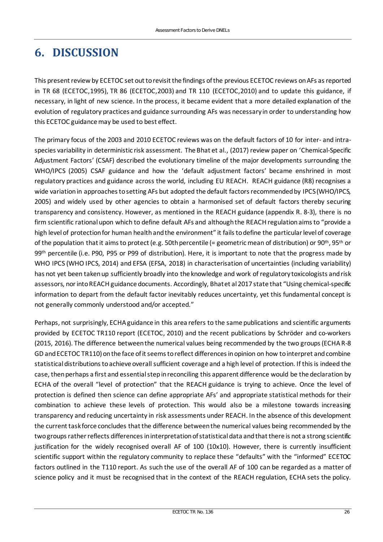# <span id="page-27-0"></span>**6. DISCUSSION**

This present review by ECETOC set out to revisit the findings of the previous ECETOC reviews on AFs as reported in TR 68 (ECETOC,1995), TR 86 (ECETOC,2003) and TR 110 (ECETOC,2010) and to update this guidance, if necessary, in light of new science. In the process, it became evident that a more detailed explanation of the evolution of regulatory practices and guidance surrounding AFs was necessary in order to understanding how this ECETOC guidance may be used to best effect.

The primary focus of the 2003 and 2010 ECETOC reviews was on the default factors of 10 for inter- and intraspecies variability in deterministic risk assessment. The Bhat et al., (2017) review paper on 'Chemical-Specific Adjustment Factors' (CSAF) described the evolutionary timeline of the major developments surrounding the WHO/IPCS (2005) CSAF guidance and how the 'default adjustment factors' became enshrined in most regulatory practices and guidance across the world, including EU REACH. REACH guidance (R8) recognises a wide variation in approaches to setting AFs but adopted the default factors recommended by IPCS (WHO/IPCS, 2005) and widely used by other agencies to obtain a harmonised set of default factors thereby securing transparency and consistency. However, as mentioned in the REACH guidance (appendix R. 8-3), there is no firm scientific rational upon which to define default AFs and although the REACH regulation aims to "provide a high level of protection for human health and the environment" it fails to define the particular level of coverage of the population that it aims to protect (e.g. 50th percentile (= geometric mean of distribution) or 90<sup>th</sup>, 95<sup>th</sup> or 99<sup>th</sup> percentile (i.e. P90, P95 or P99 of distribution). Here, it is important to note that the progress made by WHO IPCS (WHO IPCS, 2014) and EFSA (EFSA, 2018) in characterisation of uncertainties (including variability) has not yet been taken up sufficiently broadly into the knowledge and work of regulatory toxicologists and risk assessors, nor into REACH guidance documents. Accordingly, Bhat et al 2017 state that "Using chemical-specific information to depart from the default factor inevitably reduces uncertainty, yet this fundamental concept is not generally commonly understood and/or accepted."

Perhaps, not surprisingly, ECHA guidance in this area refers to the same publications and scientific arguments provided by ECETOC TR110 report (ECETOC, 2010) and the recent publications by Schröder and co-workers (2015, 2016). The difference between the numerical values being recommended by the two groups (ECHA R-8 GD and ECETOC TR110) on the face of it seems to reflect differences in opinion on how to interpret and combine statistical distributions to achieve overall sufficient coverage and a high level of protection. If this is indeed the case, then perhaps a first and essential step in reconciling this apparent difference would be the declaration by ECHA of the overall "level of protection" that the REACH guidance is trying to achieve. Once the level of protection is defined then science can define appropriate AFs' and appropriate statistical methods for their combination to achieve these levels of protection. This would also be a milestone towards increasing transparency and reducing uncertainty in risk assessments under REACH. In the absence of this development the current task force concludes that the difference between the numerical values being recommended by the two groups rather reflects differences in interpretation of statistical data and that there is not a strong scientific justification for the widely recognised overall AF of 100 (10x10). However, there is currently insufficient scientific support within the regulatory community to replace these "defaults" with the "informed" ECETOC factors outlined in the T110 report. As such the use of the overall AF of 100 can be regarded as a matter of science policy and it must be recognised that in the context of the REACH regulation, ECHA sets the policy.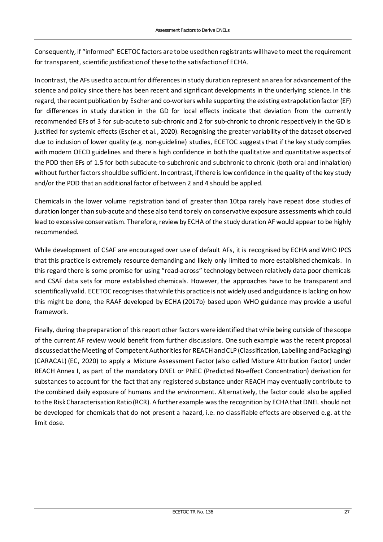Consequently, if "informed" ECETOC factors are to be used then registrants will have to meet the requirement for transparent, scientific justification of these to the satisfaction of ECHA.

In contrast, the AFs used to account for differences in study duration represent an area for advancement of the science and policy since there has been recent and significant developments in the underlying science. In this regard, the recent publication by Escher and co-workers while supporting the existing extrapolation factor (EF) for differences in study duration in the GD for local effects indicate that deviation from the currently recommended EFs of 3 for sub-acute to sub-chronic and 2 for sub-chronic to chronic respectively in the GD is justified for systemic effects (Escher et al., 2020). Recognising the greater variability of the dataset observed due to inclusion of lower quality (e.g. non-guideline) studies, ECETOC suggests that if the key study complies with modern OECD guidelines and there is high confidence in both the qualitative and quantitative aspects of the POD then EFs of 1.5 for both subacute-to-subchronic and subchronic to chronic (both oral and inhalation) without further factors should be sufficient. In contrast, if there is low confidence in the quality of the key study and/or the POD that an additional factor of between 2 and 4 should be applied.

Chemicals in the lower volume registration band of greater than 10tpa rarely have repeat dose studies of duration longer than sub-acute and these also tend to rely on conservative exposure assessments which could lead to excessive conservatism. Therefore, review by ECHA of the study duration AF would appear to be highly recommended.

While development of CSAF are encouraged over use of default AFs, it is recognised by ECHA and WHO IPCS that this practice is extremely resource demanding and likely only limited to more established chemicals. In this regard there is some promise for using "read-across" technology between relatively data poor chemicals and CSAF data sets for more established chemicals. However, the approaches have to be transparent and scientifically valid. ECETOC recognises that while this practice is not widely used and guidance is lacking on how this might be done, the RAAF developed by ECHA (2017b) based upon WHO guidance may provide a useful framework.

Finally, during the preparation of this report other factors were identified that while being outside of the scope of the current AF review would benefit from further discussions. One such example was the recent proposal discussed at the Meeting of Competent Authorities for REACH and CLP (Classification, Labelling and Packaging) (CARACAL) (EC, 2020) to apply a Mixture Assessment Factor (also called Mixture Attribution Factor) under REACH Annex I, as part of the mandatory DNEL or PNEC (Predicted No-effect Concentration) derivation for substances to account for the fact that any registered substance under REACH may eventually contribute to the combined daily exposure of humans and the environment. Alternatively, the factor could also be applied to the Risk Characterisation Ratio (RCR). A further example was the recognition by ECHA that DNEL should not be developed for chemicals that do not present a hazard, i.e. no classifiable effects are observed e.g. at the limit dose.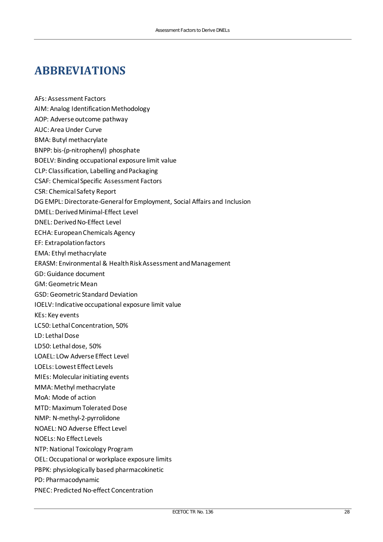## <span id="page-29-0"></span>**ABBREVIATIONS**

AFs: Assessment Factors AIM: Analog Identification Methodology AOP: Adverse outcome pathway AUC: Area Under Curve BMA: Butyl methacrylate BNPP: bis-(p-nitrophenyl) phosphate BOELV: Binding occupational exposure limit value CLP: Classification, Labelling and Packaging CSAF: Chemical Specific Assessment Factors CSR: Chemical Safety Report DG EMPL: Directorate-General for Employment, Social Affairs and Inclusion DMEL: Derived Minimal-Effect Level DNEL: Derived No-Effect Level ECHA: European Chemicals Agency EF: Extrapolation factors EMA: Ethyl methacrylate ERASM: Environmental & Health Risk Assessment and Management GD: Guidance document GM: Geometric Mean GSD: Geometric Standard Deviation IOELV: Indicative occupational exposure limit value KEs: Key events LC50: Lethal Concentration, 50% LD: Lethal Dose LD50: Lethal dose, 50% LOAEL: LOw Adverse Effect Level LOELs: Lowest Effect Levels MIEs: Molecular initiating events MMA: Methyl methacrylate MoA: Mode of action MTD: Maximum Tolerated Dose NMP: N-methyl-2-pyrrolidone NOAEL: NO Adverse Effect Level NOELs: No Effect Levels NTP: National Toxicology Program OEL: Occupational or workplace exposure limits PBPK: physiologically based pharmacokinetic PD: Pharmacodynamic PNEC: Predicted No-effect Concentration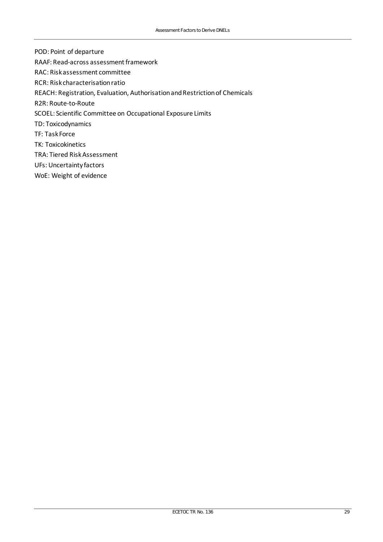- POD: Point of departure
- RAAF: Read-across assessment framework
- RAC: Risk assessment committee
- RCR: Risk characterisation ratio
- REACH: Registration, Evaluation, Authorisation and Restriction of Chemicals
- R2R: Route-to-Route
- SCOEL: Scientific Committee on Occupational Exposure Limits
- TD: Toxicodynamics
- TF: Task Force
- TK: Toxicokinetics
- TRA: Tiered Risk Assessment
- UFs: Uncertainty factors
- WoE: Weight of evidence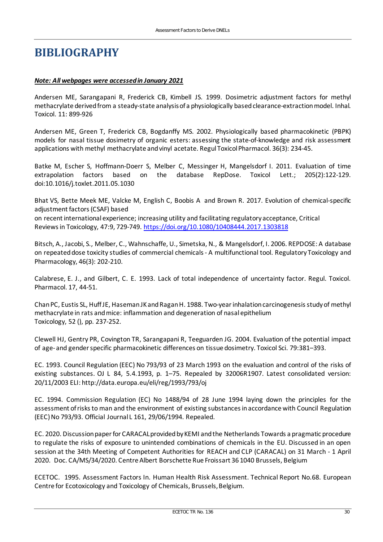### <span id="page-31-0"></span>**BIBLIOGRAPHY**

#### *Note: All webpages were accessed in January 2021*

Andersen ME, Sarangapani R, Frederick CB, Kimbell JS. 1999. Dosimetric adjustment factors for methyl methacrylate derived from a steady-state analysis of a physiologically based clearance-extraction model. Inhal. Toxicol. 11: 899-926

Andersen ME, Green T, Frederick CB, Bogdanffy MS. 2002. Physiologically based pharmacokinetic (PBPK) models for nasal tissue dosimetry of organic esters: assessing the state-of-knowledge and risk assessment applications with methyl methacrylate and vinyl acetate. Regul Toxicol Pharmacol. 36(3): 234-45.

Batke M, Escher S, Hoffmann-Doerr S, Melber C, Messinger H, Mangelsdorf I. 2011. Evaluation of time extrapolation factors based on the database RepDose. Toxicol Lett.; 205(2):122-129. doi:10.1016/j.toxlet.2011.05.1030

Bhat VS, Bette Meek ME, Valcke M, English C, Boobis A and Brown R. 2017. Evolution of chemical-specific adjustment factors (CSAF) based on recent international experience; increasing utility and facilitating regulatory acceptance, Critical Reviews in Toxicology, 47:9, 729-749.<https://doi.org/10.1080/10408444.2017.1303818>

Bitsch, A., Jacobi, S., Melber, C., Wahnschaffe, U., Simetska, N., & Mangelsdorf, I. 2006. REPDOSE: A database on repeated dose toxicity studies of commercial chemicals - A multifunctional tool. Regulatory Toxicology and Pharmacology, 46(3): 202-210.

Calabrese, E. J., and Gilbert, C. E. 1993. Lack of total independence of uncertainty factor. Regul. Toxicol. Pharmacol. 17, 44-51.

Chan PC, Eustis SL, Huff JE, Haseman JK and Ragan H. 1988. Two-year inhalation carcinogenesis study of methyl methacrylate in rats and mice: inflammation and degeneration of nasal epithelium Toxicology, 52 (), pp. 237-252.

Clewell HJ, Gentry PR, Covington TR, Sarangapani R, Teeguarden JG. 2004. Evaluation of the potential impact of age- and gender specific pharmacokinetic differences on tissue dosimetry. Toxicol Sci. 79:381–393.

EC. 1993. Council Regulation (EEC) No 793/93 of 23 March 1993 on the evaluation and control of the risks of existing substances. OJ L 84, 5.4.1993, p. 1–75. Repealed by 32006R1907. Latest consolidated version: 20/11/2003 ELI: http://data.europa.eu/eli/reg/1993/793/oj

EC. 1994. Commission Regulation (EC) No 1488/94 of 28 June 1994 laying down the principles for the assessment of risks to man and the environment of existing substances in accordance with Council Regulation (EEC) No 793/93. Official Journal L 161, 29/06/1994. Repealed.

EC. 2020. Discussion paper for CARACAL provided by KEMI and the Netherlands Towards a pragmatic procedure to regulate the risks of exposure to unintended combinations of chemicals in the EU. Discussed in an open session at the 34th Meeting of Competent Authorities for REACH and CLP (CARACAL) on 31 March - 1 April 2020. Doc. CA/MS/34/2020. Centre Albert Borschette Rue Froissart 36 1040 Brussels, Belgium

ECETOC. 1995. Assessment Factors In. Human Health Risk Assessment. Technical Report No.68. European Centre for Ecotoxicology and Toxicology of Chemicals, Brussels, Belgium.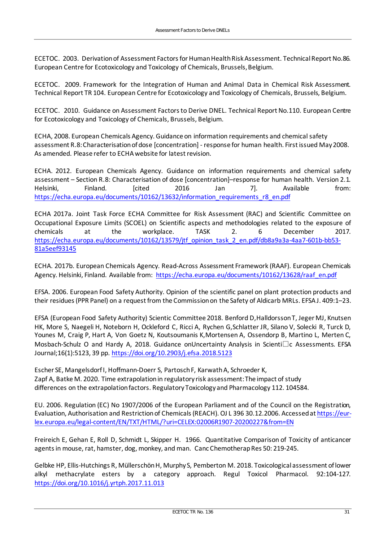ECETOC. 2003. Derivation of Assessment Factors for Human Health Risk Assessment. Technical Report No.86. European Centre for Ecotoxicology and Toxicology of Chemicals, Brussels, Belgium.

ECETOC. 2009. Framework for the Integration of Human and Animal Data in Chemical Risk Assessment. Technical Report TR 104. European Centre for Ecotoxicology and Toxicology of Chemicals, Brussels, Belgium.

ECETOC. 2010. Guidance on Assessment Factors to Derive DNEL. Technical Report No.110. European Centre for Ecotoxicology and Toxicology of Chemicals, Brussels, Belgium.

ECHA, 2008. European Chemicals Agency. Guidance on information requirements and chemical safety assessment R.8: Characterisation of dose [concentration] - response for human health. First issued May2008. As amended. Please refer to ECHA website for latest revision.

ECHA. 2012. European Chemicals Agency. Guidance on information requirements and chemical safety assessment – Section R.8: Characterisation of dose [concentration]–response for human health. Version 2.1. Helsinki, Finland. [cited 2016 Jan 7]. Available from: [https://echa.europa.eu/documents/10162/13632/information\\_requirements\\_r8\\_en.pdf](https://echa.europa.eu/documents/10162/13632/information_requirements_r8_en.pdf)

ECHA 2017a. Joint Task Force ECHA Committee for Risk Assessment (RAC) and Scientific Committee on Occupational Exposure Limits (SCOEL) on Scientific aspects and methodologies related to the exposure of chemicals at the workplace. TASK 2. 6 December 2017. [https://echa.europa.eu/documents/10162/13579/jtf\\_opinion\\_task\\_2\\_en.pdf/db8a9a3a-4aa7-601b-bb53-](https://echa.europa.eu/documents/10162/13579/jtf_opinion_task_2_en.pdf/db8a9a3a-4aa7-601b-bb53-81a5eef93145) [81a5eef93145](https://echa.europa.eu/documents/10162/13579/jtf_opinion_task_2_en.pdf/db8a9a3a-4aa7-601b-bb53-81a5eef93145)

ECHA. 2017b. European Chemicals Agency. Read-Across Assessment Framework (RAAF). European Chemicals Agency. Helsinki, Finland. Available from: [https://echa.europa.eu/documents/10162/13628/raaf\\_en.pdf](https://echa.europa.eu/documents/10162/13628/raaf_en.pdf)

EFSA. 2006. European Food Safety Authority. Opinion of the scientific panel on plant protection products and their residues (PPR Panel) on a request from the Commission on the Safety of Aldicarb MRLs. EFSA J. 409:1–23.

EFSA (European Food Safety Authority) Scientic Committee 2018. Benford D,Halldorsson T, Jeger MJ, Knutsen HK, More S, Naegeli H, Noteborn H, Ockleford C, Ricci A, Rychen G,Schlatter JR, Silano V, Solecki R, Turck D, Younes M, Craig P, Hart A, Von Goetz N, Koutsoumanis K,Mortensen A, Ossendorp B, Martino L, Merten C, Mosbach-Schulz O and Hardy A, 2018. Guidance on Uncertainty Analysis in Scienti $\Box$ c Assessments. EFSA Journal;16(1):5123, 39 pp.<https://doi.org/10.2903/j.efsa.2018.5123>

Escher SE, Mangelsdorf I, Hoffmann-Doerr S, Partosch F, Karwath A, Schroeder K, Zapf A, Batke M. 2020. Time extrapolation in regulatory risk assessment: The impact of study differences on the extrapolation factors. Regulatory Toxicology and Pharmacology 112. 104584.

EU. 2006. Regulation (EC) No 1907/2006 of the European Parliament and of the Council on the Registration, Evaluation, Authorisation and Restriction of Chemicals (REACH). OJ L 396 30.12.2006. Accessed a[t https://eur](https://eur-lex.europa.eu/legal-content/EN/TXT/HTML/?uri=CELEX:02006R1907-20200227&from=EN)[lex.europa.eu/legal-content/EN/TXT/HTML/?uri=CELEX:02006R1907-20200227&from=EN](https://eur-lex.europa.eu/legal-content/EN/TXT/HTML/?uri=CELEX:02006R1907-20200227&from=EN)

Freireich E, Gehan E, Roll D, Schmidt L, Skipper H. 1966. Quantitative Comparison of Toxicity of anticancer agents in mouse, rat, hamster, dog, monkey, and man. Canc Chemotherap Res 50: 219-245.

Gelbke HP, Ellis-Hutchings R, MüllerschönH, Murphy S, Pemberton M. 2018. Toxicological assessment of lower alkyl methacrylate esters by a category approach. Regul Toxicol Pharmacol. 92:104-127. <https://doi.org/10.1016/j.yrtph.2017.11.013>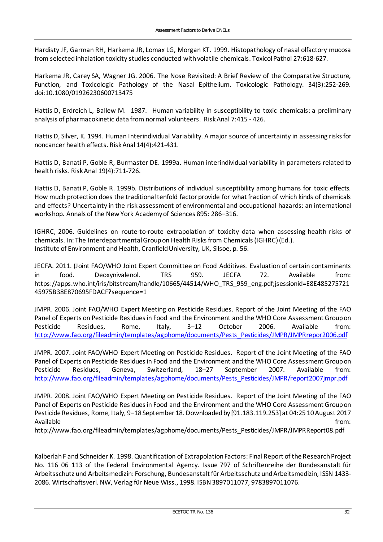Hardisty JF, Garman RH, Harkema JR, Lomax LG, Morgan KT. 1999. Histopathology of nasal olfactory mucosa from selected inhalation toxicity studies conducted with volatile chemicals. Toxicol Pathol 27:618-627.

Harkema JR, Carey SA, Wagner JG. 2006. The Nose Revisited: A Brief Review of the Comparative Structure, Function, and Toxicologic Pathology of the Nasal Epithelium. Toxicologic Pathology. 34(3):252-269. doi:10.1080/01926230600713475

Hattis D, Erdreich L, Ballew M. 1987. Human variability in susceptibility to toxic chemicals: a preliminary analysis of pharmacokinetic data from normal volunteers. Risk Anal 7:415 - 426.

Hattis D, Silver, K. 1994. Human Interindividual Variability. A major source of uncertainty in assessing risks for noncancer health effects. Risk Anal 14(4):421-431.

Hattis D, Banati P, Goble R, Burmaster DE. 1999a. Human interindividual variability in parameters related to health risks. Risk Anal 19(4):711-726.

Hattis D, Banati P, Goble R. 1999b. Distributions of individual susceptibility among humans for toxic effects. How much protection does the traditional tenfold factor provide for what fraction of which kinds of chemicals and effects? Uncertainty in the risk assessment of environmental and occupational hazards: an international workshop. Annals of the New York Academy of Sciences 895: 286–316.

IGHRC, 2006. Guidelines on route-to-route extrapolation of toxicity data when assessing health risks of chemicals. In: The Interdepartmental Group on Health Risks from Chemicals (IGHRC) (Ed.). Institute of Environment and Health, Cranfield University, UK, Silsoe, p. 56.

JECFA. 2011. (Joint FAO/WHO Joint Expert Committee on Food Additives. Evaluation of certain contaminants in food. Deoxynivalenol. TRS 959. JECFA 72. Available from: https://apps.who.int/iris/bitstream/handle/10665/44514/WHO\_TRS\_959\_eng.pdf;jsessionid=E8E485275721 45975B38E870695FDACF?sequence=1

JMPR. 2006. Joint FAO/WHO Expert Meeting on Pesticide Residues. Report of the Joint Meeting of the FAO Panel of Experts on Pesticide Residues in Food and the Environment and the WHO Core Assessment Group on Pesticide Residues, Rome, Italy, 3–12 October 2006. Available from: [http://www.fao.org/fileadmin/templates/agphome/documents/Pests\\_Pesticides/JMPR/JMPRrepor2006.pdf](http://www.fao.org/fileadmin/templates/agphome/documents/Pests_Pesticides/JMPR/JMPRrepor2006.pdf)

JMPR. 2007. Joint FAO/WHO Expert Meeting on Pesticide Residues. Report of the Joint Meeting of the FAO Panel of Experts on Pesticide Residues in Food and the Environment and the WHO Core Assessment Group on Pesticide Residues, Geneva, Switzerland, 18–27 September 2007. Available from: [http://www.fao.org/fileadmin/templates/agphome/documents/Pests\\_Pesticides/JMPR/report2007jmpr.pdf](http://www.fao.org/fileadmin/templates/agphome/documents/Pests_Pesticides/JMPR/report2007jmpr.pdf)

JMPR. 2008. Joint FAO/WHO Expert Meeting on Pesticide Residues. Report of the Joint Meeting of the FAO Panel of Experts on Pesticide Residues in Food and the Environment and the WHO Core Assessment Group on Pesticide Residues, Rome, Italy, 9–18 September 18. Downloaded by [91.183.119.253] at 04:25 10 August 2017 Available from: the state of the state of the state of the state of the state of the state of the state of the state of the state of the state of the state of the state of the state of the state of the state of the state o

http://www.fao.org/fileadmin/templates/agphome/documents/Pests\_Pesticides/JMPR/JMPRReport08.pdf

Kalberlah F and Schneider K. 1998. Quantification of Extrapolation Factors: Final Report of the Research Project No. 116 06 113 of the Federal Environmental Agency. Issue 797 of Schriftenreihe der Bundesanstalt für Arbeitsschutz und Arbeitsmedizin: Forschung, Bundesanstalt für Arbeitsschutz und Arbeitsmedizin, ISSN 1433- 2086. Wirtschaftsverl. NW, Verlag für Neue Wiss., 1998. ISBN 3897011077, 9783897011076.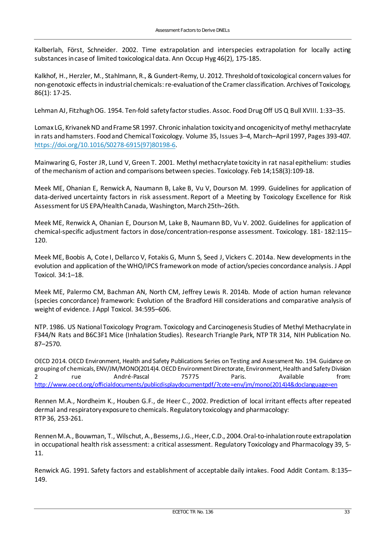Kalberlah, Först, Schneider. 2002. Time extrapolation and interspecies extrapolation for locally acting substances in case of limited toxicological data. Ann Occup Hyg 46(2), 175-185.

Kalkhof, H., Herzler, M., Stahlmann, R., & Gundert-Remy, U. 2012. Threshold of toxicological concern values for non-genotoxic effects in industrial chemicals: re-evaluation of the Cramer classification. Archives of Toxicology, 86(1): 17-25.

Lehman AJ, Fitzhugh OG. 1954. Ten-fold safety factor studies. Assoc. Food Drug Off US Q Bull XVIII. 1:33–35.

Lomax LG, Krivanek ND and Frame SR 1997. Chronic inhalation toxicity and oncogenicity of methyl methacrylate in rats and hamsters. Food and Chemical Toxicology. Volume 35, Issues 3–4, March–April 1997, Pages 393-407. [https://doi.org/10.1016/S0278-6915\(97\)80198-6.](https://doi.org/10.1016/S0278-6915(97)80198-6)

Mainwaring G, Foster JR, Lund V, Green T. 2001. Methyl methacrylate toxicity in rat nasal epithelium: studies of the mechanism of action and comparisons between species. Toxicology. Feb 14;158(3):109-18.

Meek ME, Ohanian E, Renwick A, Naumann B, Lake B, Vu V, Dourson M. 1999. Guidelines for application of data-derived uncertainty factors in risk assessment. Report of a Meeting by Toxicology Excellence for Risk Assessment for US EPA/Health Canada, Washington, March 25th–26th.

Meek ME, Renwick A, Ohanian E, Dourson M, Lake B, Naumann BD, Vu V. 2002. Guidelines for application of chemical-specific adjustment factors in dose/concentration-response assessment. Toxicology. 181- 182:115– 120.

Meek ME, Boobis A, Cote I, Dellarco V, Fotakis G, Munn S, Seed J, Vickers C. 2014a. New developments in the evolution and application of the WHO/IPCS framework on mode of action/species concordance analysis. J Appl Toxicol. 34:1–18.

Meek ME, Palermo CM, Bachman AN, North CM, Jeffrey Lewis R. 2014b. Mode of action human relevance (species concordance) framework: Evolution of the Bradford Hill considerations and comparative analysis of weight of evidence. J Appl Toxicol. 34:595–606.

NTP. 1986. US National Toxicology Program. Toxicology and Carcinogenesis Studies of Methyl Methacrylate in F344/N Rats and B6C3F1 Mice (Inhalation Studies). Research Triangle Park, NTP TR 314, NIH Publication No. 87–2570.

OECD 2014. OECD Environment, Health and Safety Publications Series on Testing and Assessment No. 194. Guidance on grouping of chemicals, ENV/JM/MONO(2014)4. OECD Environment Directorate, Environment, Health and Safety Division 2 rue André-Pascal 75775 Paris. Available from: [http://www.oecd.org/officialdocuments/publicdisplaydocumentpdf/?cote=env/jm/mono\(2014\)4&doclanguage=en](http://www.oecd.org/officialdocuments/publicdisplaydocumentpdf/?cote=env/jm/mono(2014)4&doclanguage=en)

Rennen M.A., Nordheim K., Houben G.F., de Heer C., 2002. Prediction of local irritant effects after repeated dermal and respiratory exposure to chemicals. Regulatory toxicology and pharmacology: RTP 36, 253-261.

Rennen M.A., Bouwman, T., Wilschut, A., Bessems, J.G., Heer, C.D., 2004. Oral-to-inhalation route extrapolation in occupational health risk assessment: a critical assessment. Regulatory Toxicology and Pharmacology 39, 5- 11.

Renwick AG. 1991. Safety factors and establishment of acceptable daily intakes. Food Addit Contam. 8:135– 149.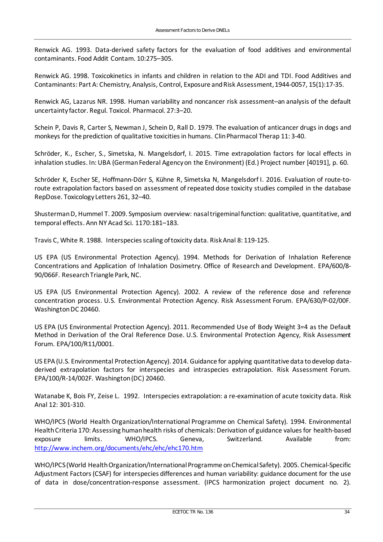Renwick AG. 1993. Data-derived safety factors for the evaluation of food additives and environmental contaminants. Food Addit Contam. 10:275–305.

Renwick AG. 1998. Toxicokinetics in infants and children in relation to the ADI and TDI. Food Additives and Contaminants: Part A: Chemistry, Analysis, Control, Exposure and Risk Assessment, 1944-0057, 15(1):17-35.

Renwick AG, Lazarus NR. 1998. Human variability and noncancer risk assessment–an analysis of the default uncertainty factor. Regul. Toxicol. Pharmacol. 27:3–20.

Schein P, Davis R, Carter S, Newman J, Schein D, Rall D. 1979. The evaluation of anticancer drugs in dogs and monkeys for the prediction of qualitative toxicities in humans. Clin Pharmacol Therap 11: 3-40.

Schröder, K., Escher, S., Simetska, N. Mangelsdorf, I. 2015. Time extrapolation factors for local effects in inhalation studies. In: UBA (German Federal Agency on the Environment) (Ed.) Project number [40191], p. 60.

Schröder K, Escher SE, Hoffmann-Dörr S, Kühne R, Simetska N, Mangelsdorf I. 2016. Evaluation of route-toroute extrapolation factors based on assessment of repeated dose toxicity studies compiled in the database RepDose. Toxicology Letters 261, 32–40.

Shusterman D, Hummel T. 2009. Symposium overview: nasal trigeminal function: qualitative, quantitative, and temporal effects. Ann NY Acad Sci. 1170:181–183.

Travis C, White R. 1988. Interspecies scaling of toxicity data. Risk Anal 8: 119-125.

US EPA (US Environmental Protection Agency). 1994. Methods for Derivation of Inhalation Reference Concentrations and Application of Inhalation Dosimetry. Office of Research and Development. EPA/600/8- 90/066F. Research Triangle Park, NC.

US EPA (US Environmental Protection Agency). 2002. A review of the reference dose and reference concentration process. U.S. Environmental Protection Agency. Risk Assessment Forum. EPA/630/P-02/00F. Washington DC 20460.

US EPA (US Environmental Protection Agency). 2011. Recommended Use of Body Weight 3=4 as the Default Method in Derivation of the Oral Reference Dose. U.S. Environmental Protection Agency, Risk Assessment Forum. EPA/100/R11/0001.

US EPA (U.S. Environmental Protection Agency). 2014. Guidance for applying quantitative data to develop dataderived extrapolation factors for interspecies and intraspecies extrapolation. Risk Assessment Forum. EPA/100/R-14/002F. Washington (DC) 20460.

Watanabe K, Bois FY, Zeise L. 1992. Interspecies extrapolation: a re-examination of acute toxicity data. Risk Anal 12: 301-310.

WHO/IPCS (World Health Organization/International Programme on Chemical Safety). 1994. Environmental Health Criteria 170: Assessing human health risks of chemicals: Derivation of guidance values for health-based exposure limits. WHO/IPCS. Geneva, Switzerland. Available from: <http://www.inchem.org/documents/ehc/ehc/ehc170.htm>

WHO/IPCS (World Health Organization/International Programme on Chemical Safety). 2005. Chemical-Specific Adjustment Factors (CSAF) for interspecies differences and human variability: guidance document for the use of data in dose/concentration-response assessment. (IPCS harmonization project document no. 2).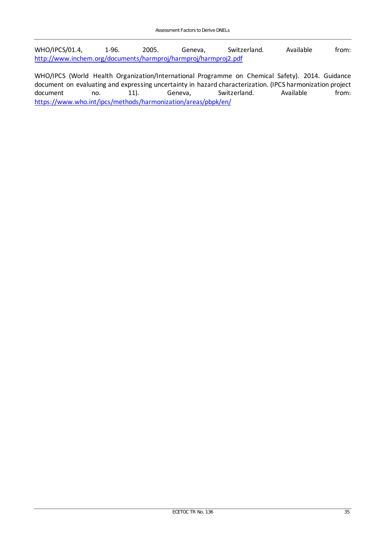WHO/IPCS/01.4, 1-96. 2005. Geneva, Switzerland. Available from: <http://www.inchem.org/documents/harmproj/harmproj/harmproj2.pdf>

WHO/IPCS (World Health Organization/International Programme on Chemical Safety). 2014. Guidance document on evaluating and expressing uncertainty in hazard characterization. (IPCS harmonization project<br>document 11). Geneva. Switzerland. Available from: no. 11). Geneva, Switzerland. <https://www.who.int/ipcs/methods/harmonization/areas/pbpk/en/>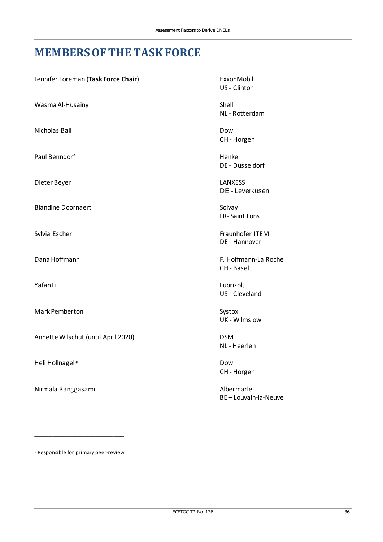### <span id="page-37-0"></span>**MEMBERS OF THE TASK FORCE**

| Jennifer Foreman (Task Force Chair) |  |  |
|-------------------------------------|--|--|
|-------------------------------------|--|--|

Wasma Al-Husainy **Shell** 

Nicholas Ball Dow Dow Dow Dow Dow

Paul Benndorf Henkel

Dieter Beyer LANXESS

Blandine Doornaert Solvay

Mark Pemberton Systox

Annette Wilschut (until April 2020) DSM

Heli Hollnagel # Dow

Nirmala Ranggasami **Albermarle** 

ExxonMobil US - Clinton

NL - Rotterdam

CH - Horgen

DE - Düsseldorf

DE - Leverkusen

FR- Saint Fons

Sylvia Escher Fraunhofer ITEM DE - Hannover

Dana Hoffmann F. Hoffmann-La Roche CH - Basel

Yafan Li US - Cleveland

UK - Wilmslow

NL - Heerlen

CH - Horgen

BE – Louvain-la-Neuve

# Responsible for primary peer-review

\_\_\_\_\_\_\_\_\_\_\_\_\_\_\_\_\_\_\_\_\_\_\_\_\_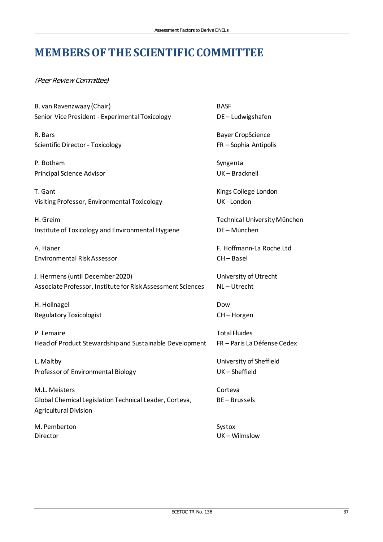## <span id="page-38-0"></span>**MEMBERS OF THE SCIENTIFIC COMMITTEE**

(Peer Review Committee)

| B. van Ravenzwaay (Chair)                                   | <b>BASF</b>                  |
|-------------------------------------------------------------|------------------------------|
| Senior Vice President - Experimental Toxicology             | DE-Ludwigshafen              |
| R. Bars                                                     | <b>Bayer CropScience</b>     |
| Scientific Director - Toxicology                            | FR - Sophia Antipolis        |
| P. Botham                                                   | Syngenta                     |
| Principal Science Advisor                                   | UK-Bracknell                 |
| T. Gant                                                     | Kings College London         |
| Visiting Professor, Environmental Toxicology                | UK - London                  |
| H. Greim                                                    | Technical University München |
| Institute of Toxicology and Environmental Hygiene           | DE-München                   |
| A. Häner                                                    | F. Hoffmann-La Roche Ltd     |
| <b>Environmental Risk Assessor</b>                          | CH-Basel                     |
| J. Hermens (until December 2020)                            | University of Utrecht        |
| Associate Professor, Institute for Risk Assessment Sciences | NL-Utrecht                   |
| H. Hollnagel                                                | Dow                          |
| Regulatory Toxicologist                                     | CH-Horgen                    |
| P. Lemaire                                                  | <b>Total Fluides</b>         |
| Head of Product Stewardship and Sustainable Development     | FR - Paris La Défense Cedex  |
| L. Maltby                                                   | University of Sheffield      |
| Professor of Environmental Biology                          | UK-Sheffield                 |
| M.L. Meisters                                               | Corteva                      |
| Global Chemical Legislation Technical Leader, Corteva,      | <b>BE-Brussels</b>           |
| <b>Agricultural Division</b>                                |                              |
| M. Pemberton                                                | Systox                       |
| Director                                                    | UK-Wilmslow                  |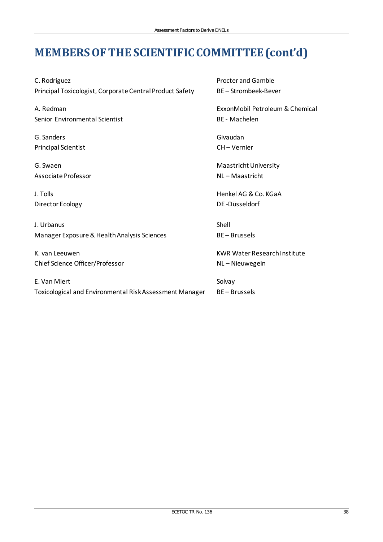## **MEMBERS OF THE SCIENTIFIC COMMITTEE (cont'd)**

C. Rodriguez **Procter and Gamble** Principal Toxicologist, Corporate Central Product Safety BE - Strombeek-Bever

Senior Environmental Scientist BE - Machelen

G. Sanders Givaudan Principal Scientist CH – Vernier

Associate Professor NL – Maastricht

Director Ecology **DE** -Düsseldorf

J. Urbanus Shell Manager Exposure & Health Analysis Sciences BE – Brussels

Chief Science Officer/Professor NL – Nieuwegein

E. Van Miert Solvay Toxicological and Environmental Risk Assessment Manager BE – Brussels

A. Redman ExxonMobil Petroleum & Chemical

G. Swaen Maastricht University

J. Tolls Henkel AG & Co. KGaA

K. van Leeuwen KWR Water Research Institute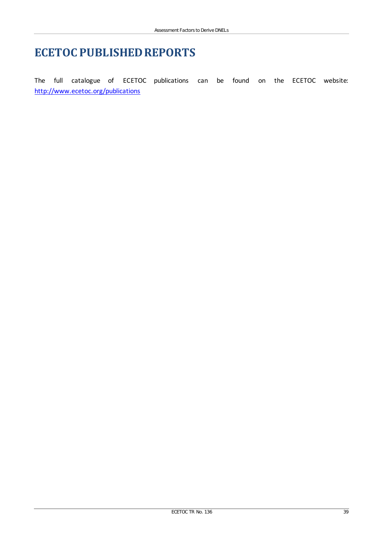### **ECETOC PUBLISHED REPORTS**

The full catalogue of ECETOC publications can be found on the ECETOC website: <http://www.ecetoc.org/publications>